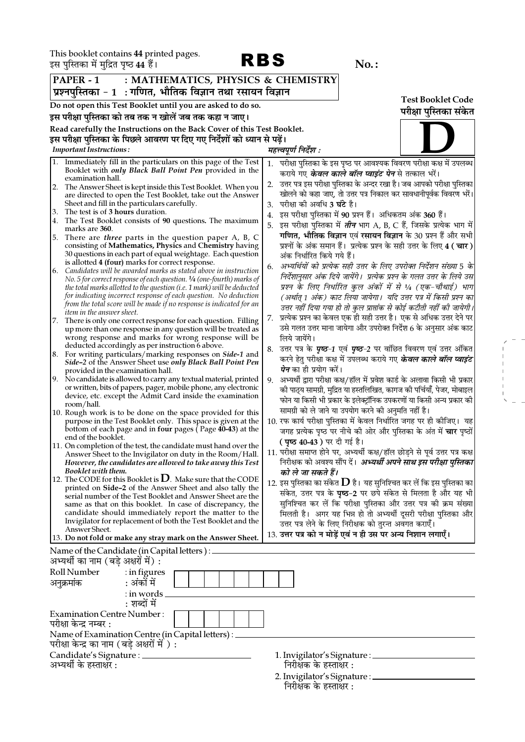**DDC** 

 $\begin{array}{l} \mathcal{L} = \mathcal{L} \\ \mathcal{L} = \mathcal{L} \\ \mathcal{L} = \mathcal{L} \\ \mathcal{L} = \mathcal{L} \\ \mathcal{L} = \mathcal{L} \\ \mathcal{L} = \mathcal{L} \end{array}$ 

|    | इस पुस्तिका में मुद्रित पृष्ठ 44 हैं।                                                  |                | NDD                                                                                                                                          |    |                                     | $No.$ :                                                           |                                                                                                                                         |
|----|----------------------------------------------------------------------------------------|----------------|----------------------------------------------------------------------------------------------------------------------------------------------|----|-------------------------------------|-------------------------------------------------------------------|-----------------------------------------------------------------------------------------------------------------------------------------|
|    | PAPER - 1                                                                              |                | : MATHEMATICS, PHYSICS & CHEMISTRY                                                                                                           |    |                                     |                                                                   |                                                                                                                                         |
|    |                                                                                        |                | प्रश्नपुस्तिका - 1  : गणित, भौतिक विज्ञान तथा रसायन विज्ञान                                                                                  |    |                                     |                                                                   |                                                                                                                                         |
|    |                                                                                        |                | Do not open this Test Booklet until you are asked to do so.                                                                                  |    |                                     |                                                                   | <b>Test Booklet Code</b>                                                                                                                |
|    |                                                                                        |                | इस परीक्षा पुस्तिका को तब तक न खोलें जब तक कहा न जाए।                                                                                        |    |                                     |                                                                   | परीक्षा पुस्तिका संकेत                                                                                                                  |
|    |                                                                                        |                | Read carefully the Instructions on the Back Cover of this Test Booklet.                                                                      |    |                                     |                                                                   |                                                                                                                                         |
|    |                                                                                        |                | इस परीक्षा पुस्तिका के पिछले आवरण पर दिए गए निर्देशों को ध्यान से पढ़ें।                                                                     |    |                                     |                                                                   |                                                                                                                                         |
|    | <b>Important Instructions:</b>                                                         |                |                                                                                                                                              |    | महत्त्वपूर्ण निर्देश :              |                                                                   |                                                                                                                                         |
|    |                                                                                        |                | Immediately fill in the particulars on this page of the Test                                                                                 | 1. |                                     |                                                                   | परीक्षा पुस्तिका के इस पृष्ठ पर आवश्यक विवरण परीक्षा कक्ष में उपलब्ध                                                                    |
|    |                                                                                        |                | Booklet with <i>only Black Ball Point Pen</i> provided in the                                                                                |    |                                     | कराये गए <b>के<i>वल काले बॉल प्वाइंट पेन</i> </b> से तत्काल भरें। |                                                                                                                                         |
| 2. | examination hall.                                                                      |                | The Answer Sheet is kept inside this Test Booklet. When you                                                                                  | 2. |                                     |                                                                   | उत्तर पत्र इस परीक्षा पुस्तिका के अन्दर रखा है। जब आपको परीक्षा पुस्तिका                                                                |
|    |                                                                                        |                | are directed to open the Test Booklet, take out the Answer                                                                                   |    |                                     |                                                                   | खोलने को कहा जाए, तो उत्तर पत्र निकाल कर सावधानीपूर्वक विवरण भरें।                                                                      |
|    | Sheet and fill in the particulars carefully.                                           |                |                                                                                                                                              | 3. | परीक्षा की अवधि <b>3 घंटे</b> है।   |                                                                   |                                                                                                                                         |
|    | 3. The test is of 3 hours duration.                                                    |                | 4. The Test Booklet consists of 90 questions. The maximum                                                                                    | 4. |                                     | इस परीक्षा पुस्तिका में 90 प्रश्न हैं।  अधिकतम अंक 360 हैं।       |                                                                                                                                         |
|    | marks are 360.                                                                         |                |                                                                                                                                              |    |                                     |                                                                   | 5.  इस परीक्षा पुस्तिका में <i>तीन</i> भाग A, B, C हैं, जिसके प्रत्येक भाग में                                                          |
| 5. |                                                                                        |                | There are <i>three</i> parts in the question paper A, B, C<br>consisting of Mathematics, Physics and Chemistry having                        |    |                                     |                                                                   | गणित, भौतिक विज्ञान एवं रसायन विज्ञान के 30 प्रश्न हैं और सभी<br>प्रश्नों के अंक समान हैं। प्रत्येक प्रश्न के सही उत्तर के लिए 4 ( चार) |
|    |                                                                                        |                | 30 questions in each part of equal weightage. Each question                                                                                  |    | अंक निर्धारित किये गये हैं।         |                                                                   |                                                                                                                                         |
|    | is allotted 4 (four) marks for correct response.                                       |                |                                                                                                                                              | 6. |                                     |                                                                   | अभ्यर्थियों को प्रत्येक सही उत्तर के लिए उपरोक्त निर्देशन संख्या 5 के                                                                   |
|    |                                                                                        |                | 6. Candidates will be awarded marks as stated above in instruction<br>No. 5 for correct response of each question. 1/4 (one-fourth) marks of |    |                                     |                                                                   | निर्देशानुसार अंक दिये जायेंगे।  प्रत्येक प्रश्न के गलत उत्तर के लिये उस                                                                |
|    |                                                                                        |                | the total marks allotted to the question (i.e. 1 mark) will be deducted                                                                      |    |                                     |                                                                   | प्रश्न के लिए निर्धारित कुल अंकों में से 1⁄4 (एक-चौथाई) भाग                                                                             |
|    |                                                                                        |                | for indicating incorrect response of each question. No deduction                                                                             |    |                                     |                                                                   | (अर्थात् 1 अंक) काट लिया जायेगा।  यदि उत्तर पत्र में किसी प्रश्न का                                                                     |
|    | <i>item in the answer sheet.</i>                                                       |                | from the total score will be made if no response is indicated for an                                                                         |    |                                     |                                                                   | उत्तर नहीं दिया गया हो तो कुल प्राप्तांक से कोई कटौती नहीं की जायेगी।                                                                   |
| 7. |                                                                                        |                | There is only one correct response for each question. Filling                                                                                | 7. |                                     |                                                                   | प्रत्येक प्रश्न का केवल एक ही सही उत्तर है। एक से अधिक उत्तर देने पर                                                                    |
|    |                                                                                        |                | up more than one response in any question will be treated as                                                                                 |    |                                     |                                                                   | उसे गलत उत्तर माना जायेगा और उपरोक्त निर्देश 6 के अनुसार अंक काट                                                                        |
|    | deducted accordingly as per instruction 6 above.                                       |                | wrong response and marks for wrong response will be                                                                                          |    | लिये जायेंगे।                       |                                                                   |                                                                                                                                         |
|    |                                                                                        |                | 8. For writing particulars/marking responses on Side-1 and                                                                                   |    |                                     |                                                                   | 8. उत्तर पत्र के <i>पृष्ठ-1</i> एवं <i>पृष्ठ-2</i> पर वांछित विवरण एवं उत्तर अंकित                                                      |
|    |                                                                                        |                | Side-2 of the Answer Sheet use only Black Ball Point Pen                                                                                     |    | <i>पेन</i> का ही प्रयोग करें।       |                                                                   | करने हेतु परीक्षा कक्ष में उपलब्ध कराये गए <b>के<i>वल काले बॉल प्वाइंट</i></b>                                                          |
|    | provided in the examination hall.                                                      |                | 9. No candidate is allowed to carry any textual material, printed                                                                            | 9. |                                     |                                                                   | अभ्यर्थी द्वारा परीक्षा कक्ष/हॉल में प्रवेश कार्ड के अलावा किसी भी प्रकार                                                               |
|    |                                                                                        |                | or written, bits of papers, pager, mobile phone, any electronic                                                                              |    |                                     |                                                                   | को पाठ्य सामग्री, मुद्रित या हस्तलिखित, कागज को पर्चियाँ, पेजर, मोबाइल                                                                  |
|    |                                                                                        |                | device, etc. except the Admit Card inside the examination                                                                                    |    |                                     |                                                                   | फोन या किसी भी प्रकार के इलेक्ट्रॉनिक उपकरणों या किसी अन्य प्रकार की                                                                    |
|    | room/hall.                                                                             |                | 10. Rough work is to be done on the space provided for this                                                                                  |    |                                     | सामग्री को ले जाने या उपयोग करने की अनुमति नहीं है।               |                                                                                                                                         |
|    |                                                                                        |                | purpose in the Test Booklet only. This space is given at the                                                                                 |    |                                     |                                                                   | 10. रफ कार्य परीक्षा पुस्तिका में केवल निर्धारित जगह पर ही कोजिए। यह                                                                    |
|    | end of the booklet.                                                                    |                | bottom of each page and in four pages $($ Page $40-43)$ at the                                                                               |    |                                     |                                                                   | जगह प्रत्येक पृष्ठ पर नीचे की ओर और पुस्तिका के अंत में <b>चार</b> पृष्ठों                                                              |
|    |                                                                                        |                | 11. On completion of the test, the candidate must hand over the                                                                              |    | <b>( पृष्ठ 40-43 )</b> पर दी गई है। |                                                                   |                                                                                                                                         |
|    |                                                                                        |                | Answer Sheet to the Invigilator on duty in the Room/Hall.                                                                                    |    |                                     |                                                                   | 11. परीक्षा समाप्त होने पर, अभ्यर्थी कक्ष/हॉल छोड़ने से पूर्व उत्तर पत्र कक्ष                                                           |
|    | Booklet with them.                                                                     |                | However, the candidates are allowed to take away this Test                                                                                   |    |                                     |                                                                   | निरीक्षक को अवश्य सौंप दें।  अभ्यर्थी अपने साथ इस परीक्षा पुस्तिका                                                                      |
|    |                                                                                        |                | 12. The CODE for this Booklet is $D$ . Make sure that the CODE                                                                               |    | को ले जा सकते हैं।                  |                                                                   | 12. इस पुस्तिका का संकेत ${\bf D}$ है। यह सुनिश्चित कर लें कि इस पुस्तिका का                                                            |
|    |                                                                                        |                | printed on Side-2 of the Answer Sheet and also tally the                                                                                     |    |                                     |                                                                   | संकेत, उत्तर पत्र के <b>पृष्ठ-2</b> पर छपे संकेत से मिलता है और यह भी                                                                   |
|    |                                                                                        |                | serial number of the Test Booklet and Answer Sheet are the<br>same as that on this booklet. In case of discrepancy, the                      |    |                                     |                                                                   | सुनिश्चित कर लें कि परीक्षा पुस्तिका और उत्तर पत्र की क्रम संख्या                                                                       |
|    |                                                                                        |                | candidate should immediately report the matter to the                                                                                        |    |                                     |                                                                   | मिलती है। अगर यह भिन्न हो तो अभ्यर्थी दूसरी परीक्षा पुस्तिका और                                                                         |
|    |                                                                                        |                | Invigilator for replacement of both the Test Booklet and the                                                                                 |    |                                     | उत्तर पत्र लेने के लिए निरीक्षक को तुरन्त अवगत कराएँ।             |                                                                                                                                         |
|    | Answer Sheet.                                                                          |                | 13. Do not fold or make any stray mark on the Answer Sheet.                                                                                  |    |                                     | 13. उत्तर पत्र को न मोड़ें एवं न ही उस पर अन्य निशान लगाएँ।       |                                                                                                                                         |
|    |                                                                                        |                |                                                                                                                                              |    |                                     |                                                                   |                                                                                                                                         |
|    | Name of the Candidate (in Capital letters) : _<br>अभ्यर्थी का नाम (बड़े अक्षरों में) : |                |                                                                                                                                              |    |                                     |                                                                   |                                                                                                                                         |
|    | Roll Number                                                                            | $:$ in figures |                                                                                                                                              |    |                                     |                                                                   |                                                                                                                                         |
|    | अनुक्रमांक                                                                             | : अंकों में    |                                                                                                                                              |    |                                     |                                                                   |                                                                                                                                         |
|    |                                                                                        | : in words .   |                                                                                                                                              |    |                                     |                                                                   |                                                                                                                                         |
|    |                                                                                        | : शब्दों में   |                                                                                                                                              |    |                                     |                                                                   |                                                                                                                                         |
|    | <b>Examination Centre Number:</b>                                                      |                |                                                                                                                                              |    |                                     |                                                                   |                                                                                                                                         |
|    | परीक्षा केन्द्र नम्बर :                                                                |                |                                                                                                                                              |    |                                     |                                                                   |                                                                                                                                         |
|    |                                                                                        |                | Name of Examination Centre (in Capital letters) : _                                                                                          |    |                                     |                                                                   |                                                                                                                                         |
|    | परीक्षा केन्द्र का नाम (बड़े अक्षरों में ) :                                           |                |                                                                                                                                              |    |                                     |                                                                   |                                                                                                                                         |
|    | Candidate's Signature : _______<br>अभ्यर्थी के हस्ताक्षर :                             |                |                                                                                                                                              |    | निरीक्षक के हस्ताक्षर :             | 1. Invigilator's Signature : ___________                          |                                                                                                                                         |
|    |                                                                                        |                |                                                                                                                                              |    |                                     |                                                                   |                                                                                                                                         |
|    |                                                                                        |                |                                                                                                                                              |    |                                     | 2. Invigilator's Signature : _______                              |                                                                                                                                         |

निरीक्षक के हस्ताक्षर :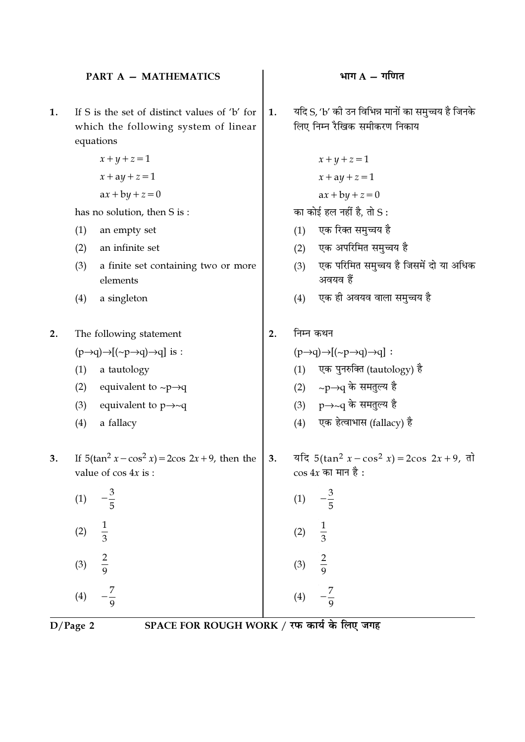#### **PART A - MATHEMATICS**

- If S is the set of distinct values of 'b' for 1. which the following system of linear equations
	- $x+y+z=1$  $x + ay + z = 1$
	- $ax + by + z = 0$

has no solution, then S is:

- an empty set  $(1)$
- an infinite set  $(2)$
- a finite set containing two or more  $(3)$ elements
- a singleton  $(4)$
- The following statement  $2.$  $(p\rightarrow q)\rightarrow [(-p\rightarrow q)\rightarrow q]$  is :
	- a tautology  $(1)$
	- equivalent to  $\sim p \rightarrow q$  $(2)$
	- equivalent to  $p \rightarrow \sim q$  $(3)$
	- $(4)$ a fallacy
- If  $5(\tan^2 x \cos^2 x) = 2\cos 2x + 9$ , then the  $3.$ value of  $\cos 4x$  is:
	- $(1)$  $\frac{1}{3}$  $(2)$  $\frac{2}{9}$  $(3)$
- यदि S, 'b' की उन विभिन्न मानों का समुच्चय है जिनके  $\mathbf{1}$ . लिए निम्न रैखिक समीकरण निकाय
	- $x+y+z=1$
	- $x + ay + z = 1$

 $ax + by + z = 0$ 

का कोई हल नहीं है, तो  $S$ :

- एक रिक्त समुच्चय है  $(1)$
- एक अपरिमित समुच्चय है  $(2)$
- एक परिमित समुच्चय है जिसमें दो या अधिक  $(3)$ अवयव हैं
- एक ही अवयव वाला समच्चय है  $(4)$
- निम्न कथन  $2.$

 $(1)$ 

 $(2)$ 

 $(3)$ 

 $(4)$ 

 $\frac{1}{3}$ 

- $(p\rightarrow q)\rightarrow[(\sim p\rightarrow q)\rightarrow q]$ :
	- (1) एक पुनरुक्ति (tautology) है
	- (2) ~p→q के समतुल्य है
	- (3)  $p \rightarrow \sim q$  के समतुल्य है
	- $(4)$  एक हेत्वाभास (fallacy) है
- यदि 5(tan<sup>2</sup>  $x \cos^2 x$ ) = 2cos 2x + 9, तो  $3.$  $\cos 4x$  का मान है:

 $D/Page$  2

 $(4)$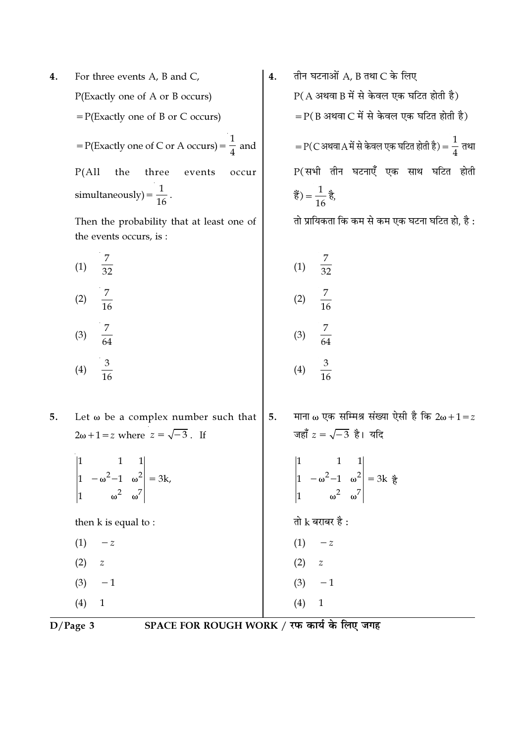For three events A, B and C, 4. P(Exactly one of A or B occurs)  $= P(Exactly one of B or C occurs)$ = P(Exactly one of C or A occurs) =  $\frac{1}{4}$  and  $P(All$  the three events occur simultaneously) =  $\frac{1}{16}$ .

> Then the probability that at least one of the events occurs, is:

 $\frac{1}{7}$  $\overline{7}$  $(1)$  $(2)$  $(3)$  $(4)$ 

तीन घटनाओं A, B तथा C के लिए  $\overline{4}$ .  $P(A \n34$ थवा B में से केवल एक घटित होती है)  $=$  P(B अथवा C में से केवल एक घटित होती है)  $P(C$ अथवा $A$ में से केवल एक घटित होती है) =  $\frac{1}{4}$  तथा P(सभी तीन घटनाएँ एक साथ घटित होती हैं) =  $\frac{1}{16}$  है,

तो प्रायिकता कि कम से कम एक घटना घटित हो, है :

$$
\begin{array}{cccc}\n\text{1} & \frac{7}{32} & & & \\
\text{2} & \frac{7}{16} & & & \\
\text{3} & \frac{7}{64} & & & \\
\text{4} & \frac{3}{16} & & & \\
\text{5} & \frac{3}{16} & & & \\
\text{6} & \frac{3}{16} & & & \\
\end{array}
$$

माना ω एक सम्मिश्र संख्या ऐसी है कि 2ω + 1 = z Let  $\omega$  be a complex number such that | 5. जहाँ  $z = \sqrt{-3}$  है। यदि  $2\omega+1=z$  where  $z=\sqrt{-3}$ . If  $\begin{vmatrix} 1 & 1 & 1 \\ 1 & -\omega^2 - 1 & \omega^2 \\ 1 & \omega^2 & \omega^7 \end{vmatrix} = 3k,$  $\begin{vmatrix} 1 & 1 & 1 \\ 1 & -\omega^2 - 1 & \omega^2 \\ 1 & \omega^2 & \omega^7 \end{vmatrix} = 3k$   $\frac{3}{6}$ तो  $k$  बराबर है : then k is equal to:  $(1)$   $-z$  $(1)$   $-z$  $(2)$  $\boldsymbol{z}$  $(2)$  $\boldsymbol{z}$  $(3)$  $-1$  $(3)$  $-1$ 

$$
\overline{D/Page\ 3}
$$

 $(4)$ 

 $\overline{1}$ 

5.

SPACE FOR ROUGH WORK / रफ कार्य के लिए जगह

 $(4)$ 

 $\mathbf{1}$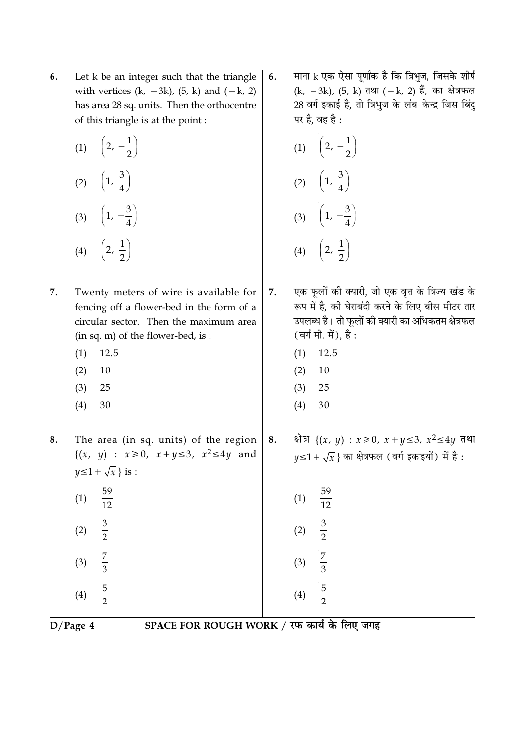6. Let k be an integer such that the triangle with vertices  $(k, -3k)$ ,  $(5, k)$  and  $(-k, 2)$ has area 28 sq. units. Then the orthocentre of this triangle is at the point :

| (1) | $\left(2, -\frac{1}{2}\right)$ |
|-----|--------------------------------|
| (2) | $\left(1, \frac{3}{4}\right)$  |
| (3) | $\left(1, -\frac{3}{4}\right)$ |
| (4) | $\left(2,\frac{1}{2}\right)$   |

- 7. Twenty meters of wire is available for fencing off a flower-bed in the form of a circular sector. Then the maximum area (in sq. m) of the flower-bed, is:
	- 12.5  $(1)$
	- $(2)$ 10
	- $(3)$ 25
	- $(4)$ 30
- The area (in sq. units) of the region 8.  $\{(x, y) : x \ge 0, x+y \le 3, x^2 \le 4y \text{ and }$  $y \leq 1 + \sqrt{x}$  is :
	- 59  $(1)$  $\overline{12}$  $\frac{3}{2}$  $(2)$  $rac{7}{3}$  $(3)$

 $rac{5}{2}$ 

माना k एक ऐसा पूर्णांक है कि त्रिभुज, जिसके शीर्ष 6. (k, -3k), (5, k) तथा (-k, 2) हैं, का क्षेत्रफल 28 वर्ग इकाई है, तो त्रिभुज के लंब-केन्द्र जिस बिंदु पर है, वह है :

(1) 
$$
\left(2, -\frac{1}{2}\right)
$$
  
\n(2)  $\left(1, \frac{3}{4}\right)$   
\n(3)  $\left(1, -\frac{3}{4}\right)$   
\n(4)  $\left(2, \frac{1}{2}\right)$ 

- एक फूलों की क्यारी, जो एक वृत्त के त्रिज्य खंड के 7. रूप में है, की घेराबंदी करने के लिए बीस मीटर तार उपलब्ध है। तो फूलों की क्यारी का अधिकतम क्षेत्रफल (वर्ग मी. में), है:
	- $(1)$ 12.5
	- $(2)$ 10
	- $(3)$ 25
	- $(4)$ 30
- क्षेत्र {(x, y) :  $x \ge 0$ ,  $x + y \le 3$ ,  $x^2 \le 4y$  तथा 8.  $y \leq 1 + \sqrt{x}$  का क्षेत्रफल (वर्ग इकाइयों) में है:

| (1) | 59<br>$\frac{1}{12}$ |
|-----|----------------------|
| (2) | $rac{3}{2}$          |
| (3) | $\frac{7}{3}$        |
| (4) | 5<br>$\overline{z}$  |

 $(4)$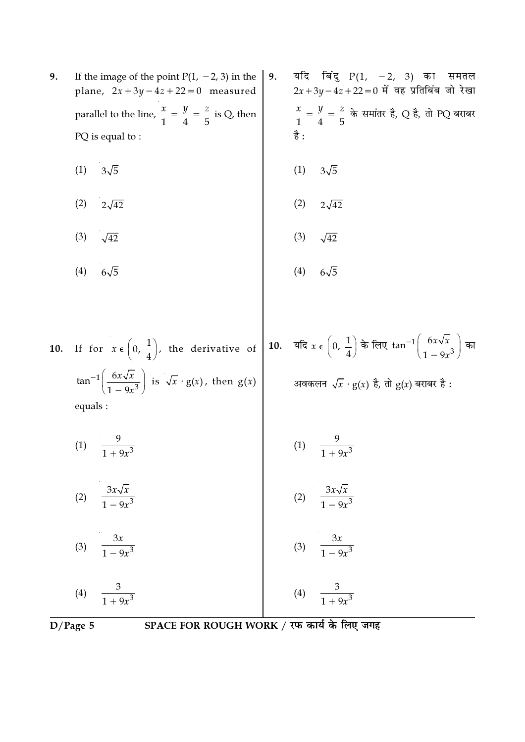9. If the image of the point  $P(1, -2, 3)$  in the plane,  $2x + 3y - 4z + 22 = 0$  measured parallel to the line,  $\frac{x}{1} = \frac{y}{4} = \frac{z}{5}$  is Q, then PQ is equal to:

- $(1)$  $3\sqrt{5}$
- $2\sqrt{42}$  $(2)$
- $(3)$  $\sqrt{42}$
- $(4)$  $6\sqrt{5}$

 $\sqrt{1-9x^3}$ 

 $\frac{1}{1+9x^3}$ 

- यदि बिंदु  $P(1, -2, 3)$  का समतल 9.  $2x + 3y - 4z + 22 = 0$  में वह प्रतिबिंब जो रेखा  $\frac{x}{1} = \frac{y}{4} = \frac{z}{5}$  के समांतर है, Q है, तो PQ बराबर है:
- $3\sqrt{5}$  $(1)$ 
	- $(2)$  $2\sqrt{42}$
	- $(3)$  $\sqrt{42}$

$$
(4) 6\sqrt{5}
$$

**10.** If for 
$$
x \in (0, \frac{1}{4})
$$
, the derivative of  $\tan^{-1}(\frac{6x\sqrt{x}}{1-9x^3})$  is  $\sqrt{x} \cdot g(x)$ , then  $g(x)$    
 equals:

 $\overline{\phantom{a}}$ 

(1) 
$$
\frac{9}{1+9x^3}
$$
  
\n(2)  $\frac{3x\sqrt{x}}{1-9x^3}$   
\n(3)  $\frac{3x\sqrt{x}}{1-9x^3}$   
\n(4)  $\frac{9}{1+9x^3}$   
\n(5)  $\frac{3x\sqrt{x}}{1-9x^3}$ 

(3) 
$$
\frac{3x}{1-9x^3}
$$
  
\n(4)  $\frac{3}{1-9x^3}$   
\n(5)  $\frac{3x}{1-9x^3}$   
\n(6)  $\frac{3x}{1-9x^3}$ 

 $\frac{1}{1+9x^3}$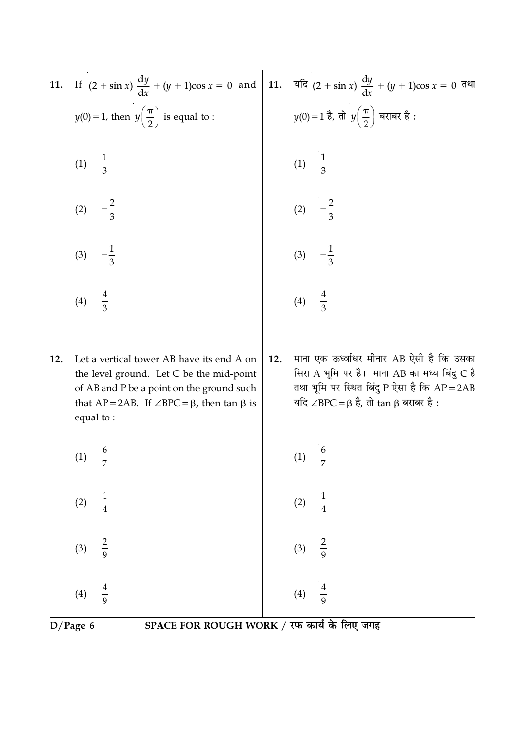|     | 11. If $(2 + \sin x) \frac{dy}{dx} + (y + 1)\cos x = 0$ and 11. $\frac{d\pi}{dx} (2 + \sin x) \frac{dy}{dx} + (y + 1)\cos x = 0$ $\frac{d\pi}{dx}$                                                                  |     |                                                                                                                                                                                             |
|-----|---------------------------------------------------------------------------------------------------------------------------------------------------------------------------------------------------------------------|-----|---------------------------------------------------------------------------------------------------------------------------------------------------------------------------------------------|
|     | $y(0) = 1$ , then $y\left(\frac{\pi}{2}\right)$ is equal to :                                                                                                                                                       |     | $y(0) = 1$ है, तो $y\left(\frac{\pi}{2}\right)$ बराबर है:                                                                                                                                   |
|     | (1) $\frac{1}{3}$                                                                                                                                                                                                   |     | (1) $\frac{1}{3}$                                                                                                                                                                           |
|     | $-\frac{2}{3}$<br>(2)                                                                                                                                                                                               |     | (2) $-\frac{2}{3}$                                                                                                                                                                          |
|     | $-\frac{1}{3}$<br>(3)                                                                                                                                                                                               |     | $-\frac{1}{3}$<br>(3)                                                                                                                                                                       |
|     | (4) $\frac{4}{3}$                                                                                                                                                                                                   |     | (4) $\frac{4}{3}$                                                                                                                                                                           |
| 12. | Let a vertical tower AB have its end A on<br>the level ground. Let C be the mid-point<br>of AB and P be a point on the ground such<br>that $AP = 2AB$ . If $\angle BPC = \beta$ , then $\tan \beta$ is<br>equal to: | 12. | माना एक ऊर्ध्वाधर मीनार AB ऐसी है कि उसका<br>सिरा A भूमि पर है। माना AB का मध्य बिंदु C है<br>तथा भूमि पर स्थित बिंदु P ऐसा है कि AP=2AB<br>यदि ∠BPC = $\beta$ है, तो tan $\beta$ बराबर है: |
|     | $\frac{6}{7}$<br>(1)                                                                                                                                                                                                |     | $\frac{6}{1}$<br>(1)                                                                                                                                                                        |
|     | $\frac{1}{4}$<br>(2)                                                                                                                                                                                                |     | $\frac{1}{4}$<br>(2)                                                                                                                                                                        |
|     | $\frac{2}{9}$<br>(3)                                                                                                                                                                                                |     | $\frac{2}{9}$ $\frac{4}{9}$<br>(3)                                                                                                                                                          |
|     | $\frac{4}{9}$<br>(4)                                                                                                                                                                                                |     | (4)                                                                                                                                                                                         |

SPACE FOR ROUGH WORK / रफ कार्य के लिए जगह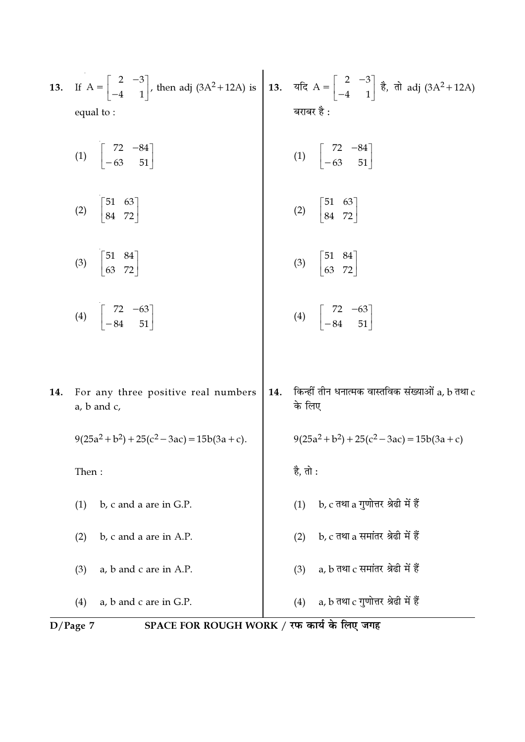| 13. | If $A = \begin{bmatrix} 2 & -3 \\ -4 & 1 \end{bmatrix}$ , then adj (3A <sup>2</sup> +12A) is 13. $\pi$ and $A = \begin{bmatrix} 2 & -3 \\ -4 & 1 \end{bmatrix}$ $\frac{3}{6}$ , $\pi$ adj (3A <sup>2</sup> +12A) |     |                                                                   |  |
|-----|------------------------------------------------------------------------------------------------------------------------------------------------------------------------------------------------------------------|-----|-------------------------------------------------------------------|--|
|     | equal to:                                                                                                                                                                                                        |     | बराबर है :                                                        |  |
|     | (1) $\begin{vmatrix} 72 & -84 \\ -63 & 51 \end{vmatrix}$                                                                                                                                                         |     | (1) $\begin{vmatrix} 72 & -84 \\ -63 & 51 \end{vmatrix}$          |  |
|     | (2) $\begin{bmatrix} 51 & 63 \\ 84 & 72 \end{bmatrix}$                                                                                                                                                           |     | (2) $\begin{bmatrix} 51 & 63 \\ 84 & 72 \end{bmatrix}$            |  |
|     | (3) $\begin{bmatrix} 51 & 84 \\ 63 & 72 \end{bmatrix}$                                                                                                                                                           |     | (3) $\begin{bmatrix} 51 & 84 \\ 63 & 72 \end{bmatrix}$            |  |
|     | (4) $\begin{vmatrix} 72 & -63 \\ -84 & 51 \end{vmatrix}$                                                                                                                                                         |     | (4) $\begin{bmatrix} 72 & -63 \\ -84 & 51 \end{bmatrix}$          |  |
|     |                                                                                                                                                                                                                  |     |                                                                   |  |
| 14. | For any three positive real numbers<br>a, b and c,                                                                                                                                                               | 14. | किन्हीं तीन धनात्मक वास्तविक संख्याओं $a$ , $b$ तथा $c$<br>के लिए |  |
|     | $9(25a^2 + b^2) + 25(c^2 - 3ac) = 15b(3a + c).$                                                                                                                                                                  |     | $9(25a^2 + b^2) + 25(c^2 - 3ac) = 15b(3a + c)$                    |  |
|     | Then:                                                                                                                                                                                                            |     | है, तो :                                                          |  |
|     | b, c and a are in G.P.<br>(1)                                                                                                                                                                                    |     | b, c तथा a गुणोत्तर श्रेढी में हैं<br>(1)                         |  |
|     | b, c and a are in A.P.<br>(2)                                                                                                                                                                                    |     | b, c तथा a समांतर श्रेढी में हैं<br>(2)                           |  |
|     | a, b and c are in A.P.<br>(3)                                                                                                                                                                                    |     | a, $b$ तथा $c$ समांतर श्रेढी में हैं<br>(3)                       |  |
|     | a, b and c are in G.P.<br>(4)                                                                                                                                                                                    |     | a, $b$ तथा $c$ गुणोत्तर श्रेढी में हैं<br>(4)                     |  |
|     | SPACE FOR ROUGH WORK / रफ कार्य के लिए जगह<br>$D/Page$ 7                                                                                                                                                         |     |                                                                   |  |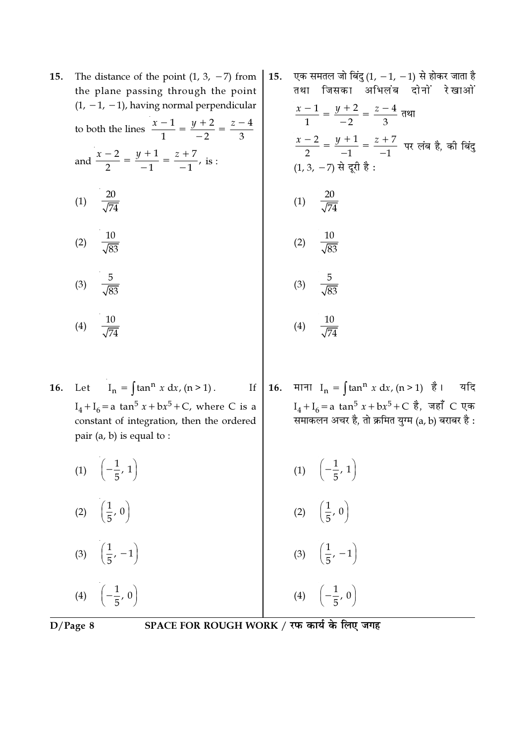| 15. | The distance of the point $(1, 3, -7)$ from                        | 15. | τ |
|-----|--------------------------------------------------------------------|-----|---|
|     | the plane passing through the point                                |     |   |
|     | $(1, -1, -1)$ , having normal perpendicular                        |     |   |
|     | to both the lines $\frac{x-1}{1} = \frac{y+2}{-2} = \frac{z-4}{3}$ |     |   |
|     | and $\frac{x-2}{2} = \frac{y+1}{-1} = \frac{z+7}{-1}$ , is :       |     |   |
|     | (1) $\frac{20}{\sqrt{74}}$                                         |     |   |
|     | (2) $\frac{10}{\sqrt{83}}$                                         |     |   |
|     | $rac{5}{\sqrt{83}}$<br>(3)                                         |     |   |
|     | (4) $\frac{10}{\sqrt{74}}$                                         |     |   |
|     |                                                                    |     |   |

एक समतल जो बिंदु (1,  $-1$ ,  $-1$ ) से होकर जाता है .<br>तथा जिसका अभिलंब दोनों रेखाओं  $\frac{x-1}{1} = \frac{y+2}{-2} = \frac{z-4}{3}$  तथा  $\frac{x-2}{2} = \frac{y+1}{-1} = \frac{z+7}{-1}$  पर लंब है, की बिंदु  $(1, 3, -7)$  से दूरी है : (1)  $\frac{20}{\sqrt{74}}$  $\frac{10}{\sqrt{83}}$  $(2)$ (3)  $\frac{5}{\sqrt{83}}$ 

16. माना  $I_n = \int \tan^n x \, dx$ ,  $(n > 1)$  है। यदि

 $I_4 + I_6 = a \tan^5 x + bx^5 + C \,$  है, जहाँ C एक<br>समाकलन अचर है, तो क्रमित युग्म (a, b) बराबर है :

$$
(4) \quad \frac{10}{\sqrt{74}}
$$

Let  $I_n = \int \tan^n x dx$ ,  $(n > 1)$ . 16.  $\mathbf{If}% =\mathbf{1}_{\mathbb{Z}}\times\mathbf{1}_{\mathbb{Z}}\times\mathbf{1}_{\mathbb{Z}}\times\mathbf{1}_{\mathbb{Z}}\times\mathbf{1}_{\mathbb{Z}}\times\mathbf{1}_{\mathbb{Z}}\times\mathbf{1}_{\mathbb{Z}}\times\mathbf{1}_{\mathbb{Z}}\times\mathbf{1}_{\mathbb{Z}}\times\mathbf{1}_{\mathbb{Z}}\times\mathbf{1}_{\mathbb{Z}}\times\mathbf{1}_{\mathbb{Z}}\times\mathbf{1}_{\mathbb{Z}}\times\mathbf{1}_{\mathbb{Z}}\times\mathbf{1}_{\mathbb{Z}}\times\mathbf$  $I_4 + I_6 = a \tan^5 x + bx^5 + C$ , where C is a constant of integration, then the ordered pair  $(a, b)$  is equal to :

(1) 
$$
\left(-\frac{1}{5}, 1\right)
$$
  
\n(2)  $\left(\frac{1}{5}, 0\right)$   
\n(3)  $\left(\frac{1}{5}, -1\right)$   
\n(4)  $\left(-\frac{1}{5}, 0\right)$   
\n(5)  $\left(\frac{1}{5}, -1\right)$   
\n(6)  $\left(\frac{1}{5}, -1\right)$   
\n(7)  $\left(-\frac{1}{5}, 1\right)$   
\n(8)  $\left(\frac{1}{5}, -1\right)$   
\n(9)  $\left(-\frac{1}{5}, 0\right)$   
\n(10)  $\left(-\frac{1}{5}, 1\right)$ 

 $D/Page 8$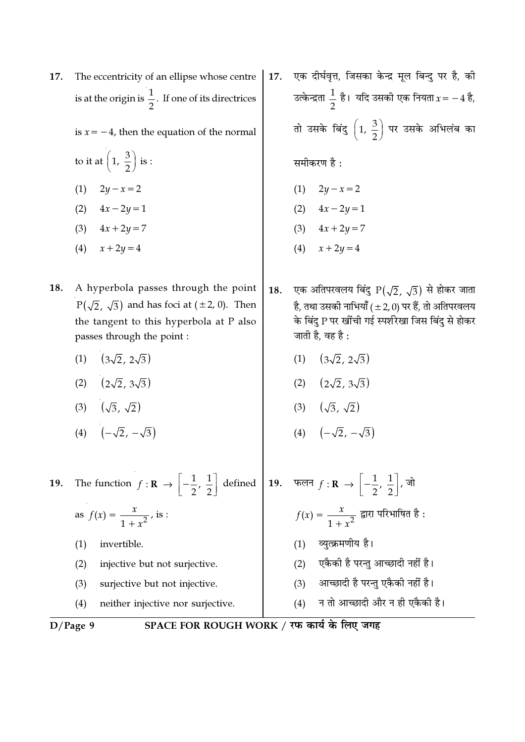एक दीर्घवृत्त, जिसका केन्द्र मूल बिन्दु पर है, की 17. The eccentricity of an ellipse whose centre 17. is at the origin is  $\frac{1}{2}$ . If one of its directrices उत्केन्द्रता  $\frac{1}{2}$  है। यदि उसकी एक नियता  $x = -4$  है, तो उसके बिंदु  $\left(1, \frac{3}{2}\right)$  पर उसके अभिलंब का is  $x = -4$ , then the equation of the normal to it at  $\left(1, \frac{3}{2}\right)$  is : समीकरण है: (1)  $2y - x = 2$ (1)  $2y - x = 2$ (2)  $4x - 2y = 1$ (2)  $4x - 2y = 1$ (3)  $4x + 2y = 7$ (3)  $4x + 2y = 7$ (4)  $x + 2y = 4$  $(4)$  $x + 2y = 4$ A hyperbola passes through the point एक अतिपरवलय बिंदु  $P(\sqrt{2}, \sqrt{3})$  से होकर जाता 18. 18.  $P(\sqrt{2}, \sqrt{3})$  and has foci at ( $\pm 2$ , 0). Then है, तथा उसकी नाभियाँ (±2,0) पर हैं, तो अतिपरवलय के बिंदु P पर खींची गई स्पर्शरेखा जिस बिंदु से होकर the tangent to this hyperbola at P also जाती है, वह है : passes through the point :  $(3\sqrt{2}, 2\sqrt{3})$  $(1)$   $(3\sqrt{2}, 2\sqrt{3})$  $(1)$ (2)  $(2\sqrt{2}, 3\sqrt{3})$ (2)  $(2\sqrt{2}, 3\sqrt{3})$ (3)  $(\sqrt{3}, \sqrt{2})$ (3)  $(\sqrt{3}, \sqrt{2})$ (4)  $(-\sqrt{2}, -\sqrt{3})$ (4)  $(-\sqrt{2}, -\sqrt{3})$ The function  $f: \mathbf{R} \to \left[-\frac{1}{2}, \frac{1}{2}\right]$  defined 19. फलन  $f: \mathbf{R} \to \left[-\frac{1}{2}, \frac{1}{2}\right]$ , जो 19.  $f(x) = \frac{x}{1 + x^2}$  द्वारा परिभाषित है: as  $f(x) = \frac{x}{1 + x^2}$ , is : (1) व्युत्क्रमणीय है। invertible.  $(1)$ (2) एकैकी है परन्तु आच्छादी नहीं है। injective but not surjective.  $(2)$ (3) आच्छादी है परन्त एकैकी नहीं है।  $(3)$ surjective but not injective. न तो आच्छादी और न ही एकैकी है। neither injective nor surjective.  $(4)$  $(4)$ SPACE FOR ROUGH WORK / रफ कार्य के लिए जगह  $D/Page$  9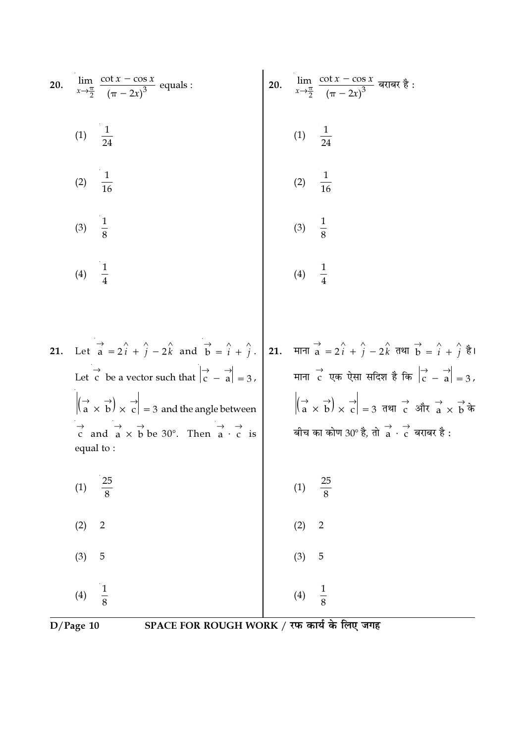20. 
$$
\lim_{x \to \frac{\pi}{2}} \frac{\cot x - \cos x}{(\pi - 2x)^3}
$$
 equals:  
\n21. Let  $\frac{1}{a} = 2\hat{i} + \hat{j} - 2\hat{k}$  and  $\frac{1}{b} = \hat{i} + \hat{j}$ .  
\n22.  $\frac{1}{16}$   
\n23.  $\frac{1}{16}$   
\n24. Let  $\frac{1}{a} = 2\hat{i} + \hat{j} - 2\hat{k}$  and  $\frac{1}{b} = \hat{i} + \hat{j}$ .  
\n25. Let  $\vec{c}$  be a vector such that  $|\vec{c} - \vec{a}| = 3$ .  
\n26.  $\lim_{x \to \frac{\pi}{2}} \frac{\cot x - \cos x}{(\pi - 2x)^3}$  and  $\vec{a} \neq \frac{\pi}{2}$   
\n27. Let  $\vec{a} = 2\hat{i} + \hat{j} - 2\hat{k}$  and  $\vec{b} = \hat{i} + \hat{j}$ .  
\n28. Let  $\vec{c}$  be a vector such that  $|\vec{c} - \vec{a}| = 3$ .  
\n $|\vec{a} \times \vec{b}| \times \vec{c}| = 3$  and the angle between  
\nequal to:  
\n29.  $2 \times \vec{c}$  is  
\nequal to:  
\n20.  $\lim_{x \to \frac{\pi}{2}} \frac{\cot x - \cos x}{(\pi - 2x)^3}$  and  $\frac{\pi}{3}$   
\n21.  $1 \times \frac{1}{4}$   
\n22.  $1 \times \frac{1}{8}$   
\n23.  $1 \times \frac{1}{8}$   
\n24.  $1 \times \frac{1}{8}$   
\n25.  $1 \times \frac{1}{8}$   
\n26.  $1 \times \frac{1}{8}$   
\n27.  $1 \times \frac{1}{8}$   
\n28.  $1 \times \frac{1}{8}$   
\n29.  $2 \times \frac{1}{8}$   
\n20.  $1 \times \frac{1}{8}$   
\n21. Let  $\vec{a} = 2\hat{i} + \hat{j} - 2\hat{k}$ 

D/Page 10 SPACE FOR ROUGH WORK / रफ कार्य के लिए जगह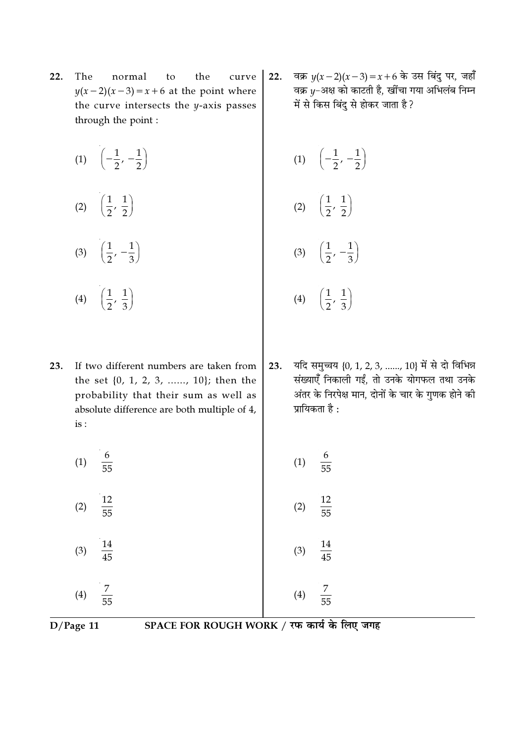- $22.$ The normal the curve to  $y(x-2)(x-3) = x+6$  at the point where the curve intersects the y-axis passes through the point:
	- (1)  $\left(-\frac{1}{2}, -\frac{1}{2}\right)$  $\left(\frac{1}{2},\frac{1}{2}\right)$  $(2)$ (3)  $\left(\frac{1}{2}, -\frac{1}{3}\right)$  $\left(\frac{1}{2},\frac{1}{3}\right)$

 $(4)$ 

- 23. If two different numbers are taken from the set  $\{0, 1, 2, 3, \ldots, 10\}$ ; then the probability that their sum as well as absolute difference are both multiple of 4, is :
	- $\frac{6}{55}$  $(1)$ 12  $(2)$  $\overline{55}$ 14  $(3)$  $\overline{45}$
	- $(4)$  $\overline{55}$

 $D/Page$  11

वक्र  $y(x-2)(x-3) = x+6$  के उस बिंदु पर, जहाँ  $22.$ वक्र y-अक्ष को काटती है, खींचा गया अभिलंब निम्न में से किस बिंदु से होकर जाता है?

(1) 
$$
\left(-\frac{1}{2}, -\frac{1}{2}\right)
$$
  
(2)  $\left(\frac{1}{2}, \frac{1}{2}\right)$ 

$$
(3) \quad \left(\frac{1}{2},\,-\frac{1}{3}\right)
$$

- $\left(\frac{1}{2},\frac{1}{3}\right)$  $(4)$
- यदि समुच्चय {0, 1, 2, 3, ......, 10} में से दो विभिन्न 23. संख्याएँ निकाली गईं, तो उनके योगफल तथा उनके अंतर के निरपेक्ष मान, दोनों के चार के गुणक होने की प्रायिकता है:

(1) 
$$
\frac{6}{55}
$$
  
(2)  $\frac{12}{55}$   
(3)  $\frac{14}{45}$ 

45

 $(4)$ 

- 
- SPACE FOR ROUGH WORK / रफ कार्य के लिए जगह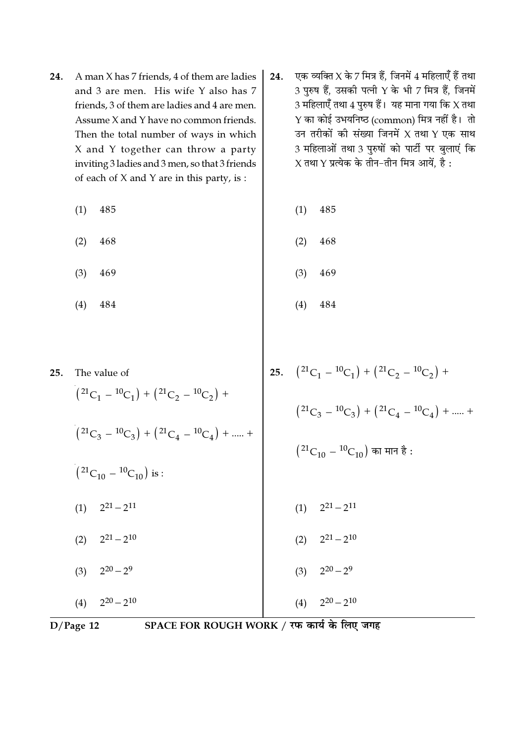- 24. A man X has 7 friends, 4 of them are ladies and 3 are men. His wife Y also has 7 friends, 3 of them are ladies and 4 are men. Assume X and Y have no common friends. Then the total number of ways in which X and Y together can throw a party inviting 3 ladies and 3 men, so that 3 friends of each of X and Y are in this party, is :
	- (1) 485 (1) 485
	- $(2)$  468  $(3)$  469 (4) 484  $(2)$  468  $(3)$  469 (4) 484
- 25.  $( {}^{21}C_1 {}^{10}C_1 ) + ({}^{21}C_2 {}^{10}C_2 ) +$  $( {}^{21}C_3 - {}^{10}C_3 ) + ({}^{21}C_4 - {}^{10}C_4 ) + \dots +$  $(^{21}\rm{C}_{10}$   $^{10}\rm{C}_{10})$  का मान है :  $(1)$  $21 - 211$  $(2)$  $21 - 210$  $(3)$  $20 - 29$  $(4)$  $20 - 210$ 25. The value of  $( {}^{21}C_1 - {}^{10}C_1 ) + ({}^{21}C_2 - {}^{10}C_2 ) +$  $( {}^{21}C_3 - {}^{10}C_3 ) + ({}^{21}C_4 - {}^{10}C_4 ) + \dots +$  $({}^{21}C_{10} - {}^{10}C_{10})$  is :  $(1)$  $21 - 211$  $(2)$  $21 - 210$  $(3)$  $20 - 29$  $(4)$  $20 - 210$

D/Page 12 SPACE FOR ROUGH WORK / रफ कार्य के लिए जगह

24.  $\sqrt{v}$ क व्यक्ति $X$  के 7 मित्र हैं. जिनमें 4 महिलाएँ हैं तथा  $3$  पुरुष हैं, उसकी पत्नी Y के भी 7 मित्र हैं, जिनमें 3 महिलाएँ तथा  $4$  पुरुष हैं। यह माना गया कि  $\chi$  तथा  $Y$  का कोई उभयनिष्ठ (common) मित्र नहीं है। तो उन तरीकों की संख्या जिनमें X तथा Y एक साथ 3 महिलाओं तथा 3 पुरुषों को पार्टी पर बुलाएं कि  $X$  तथा  $Y$  प्रत्येक के तीन-तीन मित्र आयें, है: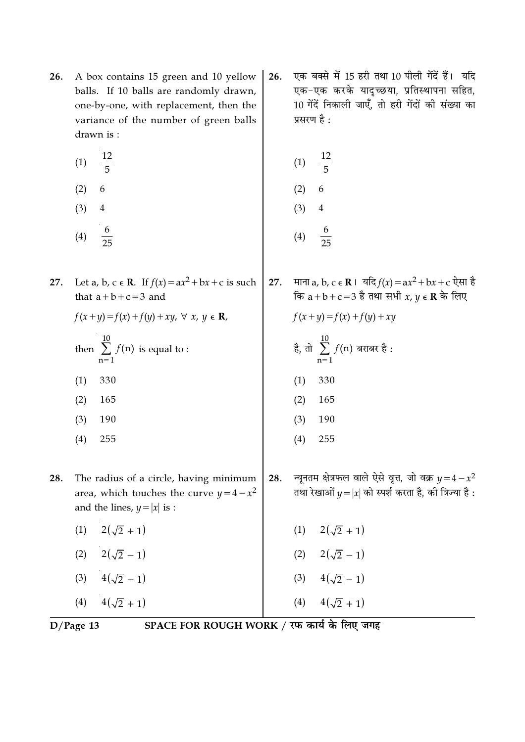- A box contains 15 green and 10 yellow 26. balls. If 10 balls are randomly drawn, one-by-one, with replacement, then the variance of the number of green balls drawn is:
	- 12  $(1)$  $\overline{5}$
	- $(2)$ 6
	- $(3)$  $\overline{4}$
	- $\boldsymbol{6}$  $(4)$  $\overline{25}$
- Let a, b, c  $\in$  R. If  $f(x) = ax^2 + bx + c$  is such 27. that  $a+b+c=3$  and
	- $f(x + y) = f(x) + f(y) + xy, \forall x, y \in \mathbb{R}$ ,
	- then  $\sum_{n=1}^{10} f(n)$  is equal to :
	- $(1)$ 330
	- $(2)$ 165
	- 190  $(3)$
	- $(4)$ 255
- The radius of a circle, having minimum 28. area, which touches the curve  $y = 4 - x^2$ and the lines,  $y = |x|$  is :
	- (1)  $2(\sqrt{2}+1)$
	- (2)  $2(\sqrt{2}-1)$
	- (3)  $4(\sqrt{2}-1)$
	- $4(\sqrt{2}+1)$  $(4)$

एक बक्से में 15 हरी तथा 10 पीली गेंदें हैं। यदि 26. एक-एक करके यादच्छया, प्रतिस्थापना सहित, 10 गेंदें निकाली जाएँ, तो हरी गेंदों की संख्या का प्रसरण है :

(1) 
$$
\frac{12}{5}
$$
  
(2) 6  
(3) 4  
(4)  $\frac{6}{25}$ 

माना a, b, c  $\epsilon \mathbf{R}$  | यदि  $f(x) = ax^2 + bx + c$  ऐसा है 27. कि  $a+b+c=3$  है तथा सभी  $x, y \in \mathbf{R}$  के लिए

$$
f(x + y) = f(x) + f(y) + xy
$$
  
\n $\frac{10}{6}$ ,  $\frac{10}{6}$ ,  $f(n)$   $\frac{10}{6}$   
\n(1) 330

- $(2)$ 165
- $(3)$ 190
- $(4)$ 255
- न्यूनतम क्षेत्रफल वाले ऐसे वृत्त, जो वक्र  $y = 4 x^2$ 28. तथा रेखाओं  $y = |x|$  को स्पर्श करता है, की त्रिज्या है:
	- (1)  $2(\sqrt{2}+1)$ (2)  $2(\sqrt{2}-1)$ (3)  $4(\sqrt{2}-1)$  $4(\sqrt{2}+1)$  $(4)$

 $D/Page$  13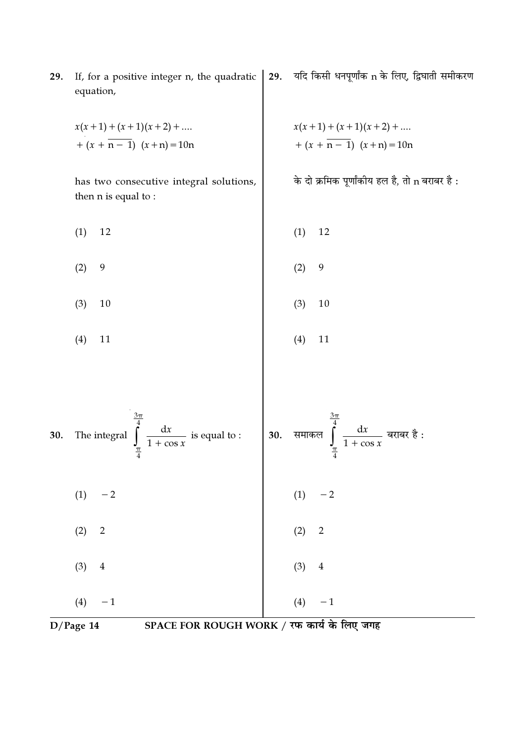If, for a positive integer n, the quadratic 29. equation,  $x(x+1) + (x+1)(x+2) + ...$ <br>+  $(x + n - 1) (x + n) = 10n$ 

has two consecutive integral solutions, then n is equal to:

- $(1)$ 12
- $(2)$ 9
- $(3)$ 10
- $(4)$ 11

यदि किसी धनपूर्णांक n के लिए, द्विघाती समीकरण 29.

$$
x(x+1) + (x+1)(x+2) + \dots
$$
  
+ (x + n - 1) (x + n) = 10n

के दो क्रमिक पूर्णांकीय हल है, तो n बराबर है :

$$
(1) \quad 12
$$

12

- $(2)$ 9
- $(3)$ 10
	- $(4)$ 11



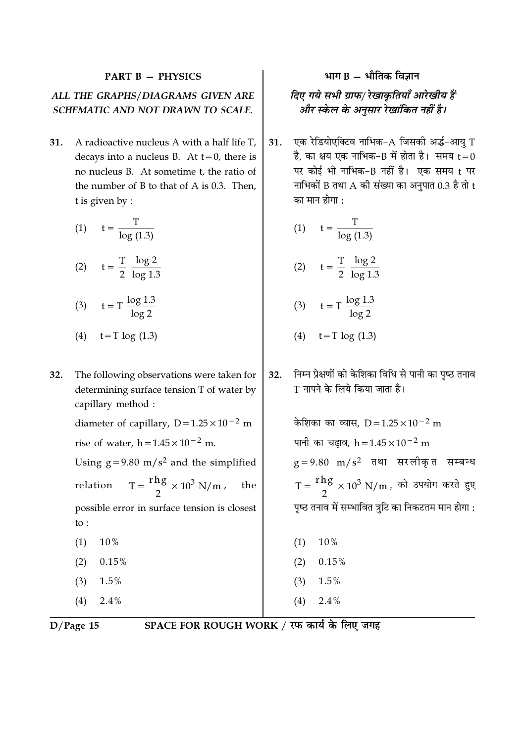#### **PART B - PHYSICS**

## ALL THE GRAPHS/DIAGRAMS GIVEN ARE SCHEMATIC AND NOT DRAWN TO SCALE.

 $31.$ A radioactive nucleus A with a half life T, decays into a nucleus B. At  $t=0$ , there is no nucleus B. At sometime t, the ratio of the number of  $B$  to that of  $A$  is 0.3. Then. t is given by :

| (1) | T<br>$\overline{\log(1.3)}$               |
|-----|-------------------------------------------|
| (2) | $t = \frac{T}{2} \frac{\log 2}{\log 1.3}$ |
| (3) | $t = T \frac{\log 1.3}{\log 2}$           |
| (4) | $t=T \log(1.3)$                           |

32. The following observations were taken for determining surface tension T of water by capillary method :

> diameter of capillary,  $D = 1.25 \times 10^{-2}$  m rise of water,  $h = 1.45 \times 10^{-2}$  m.

Using  $g = 9.80$  m/s<sup>2</sup> and the simplified

 $T = \frac{rhg}{2} \times 10^3 \text{ N/m}$ relation the possible error in surface tension is closest to :

- 10%  $(1)$
- $(2)$  $0.15%$
- $(3)$  $1.5%$
- $(4)$  $2.4%$

## भाग $B -$ भौतिक विज्ञान

## दिए गये सभी ग्राफ/ रेखाकृतियाँ आरेखीय हैं और स्केल के अनुसार रेखांकित नहीं है।

एक रेडियोएक्टिव नाभिक-A जिसकी अर्द्ध-आयु T  $31.$ है, का क्षय एक नाभिक-B में होता है। समय  ${\sf t}\!=\!0$ पर कोई भी नाभिक-B नहीं है। एक समय t पर नाभिकों B तथा  $A$  की संख्या का अनुपात 0.3 है तो  $t$ का मान होगा :

$$
(1) \qquad t = \frac{T}{\log(1.3)}
$$

(2) 
$$
t = \frac{T}{2} \frac{\log 2}{\log 1.3}
$$

$$
(3) \qquad t = T \frac{\log 1.3}{\log 2}
$$

(4) 
$$
t = T \log(1.3)
$$

निम्न प्रेक्षणों को केशिका विधि से पानी का पृष्ठ तनाव  $32.$ T नापने के लिये किया जाता है।

> केशिका का व्यास.  $D = 1.25 \times 10^{-2}$  m पानी का चढाव, h =  $1.45 \times 10^{-2}$  m  $g = 9.80$  m/s<sup>2</sup> तथा सरलीकृत सम्बन्ध  $T = \frac{r h g}{2} \times 10^3$  N/m, को उपयोग करते हुए पृष्ठ तनाव में सम्भावित त्रूटि का निकटतम मान होगा :

- 10%  $(1)$  $(2)$  $0.15%$  $(3)$  $1.5%$
- $(4)$  $2.4%$

 $D/Page$  15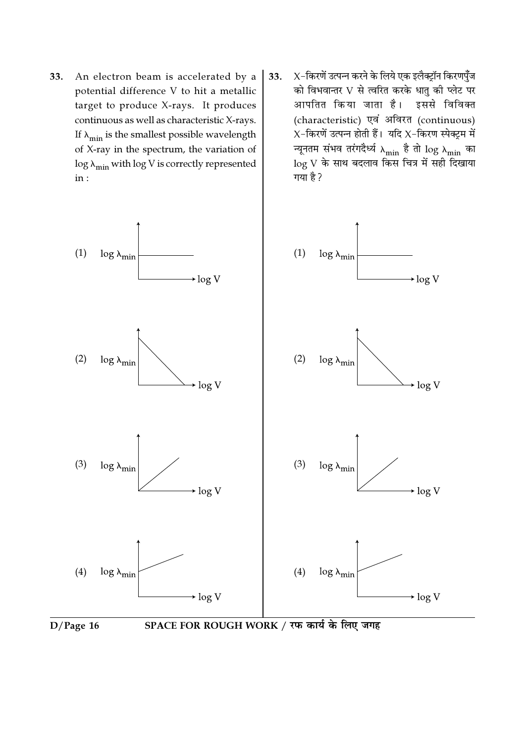- 33. An electron beam is accelerated by a potential difference V to hit a metallic target to produce X-rays. It produces continuous as well as characteristic X-rays. If  $\lambda_{\min}$  is the smallest possible wavelength of X-ray in the spectrum, the variation of  $\log \lambda_{\min}$  with  $\log V$  is correctly represented  $in:$
- $X$ -किरणें उत्पन्न करने के लिये एक इलैक्ट्रॉन किरणपुँज 33. को विभवान्तर V से त्वरित करके धातु की प्लेट पर आपतित किया जाता है। इससे विविक्त (characteristic) एवं अविरत (continuous)  $X$ -किरणें उत्पन्न होती हैं। यदि  $X$ -किरण स्पेक्ट्रम में न्यूनतम संभव तरंगदैर्ध्य  $_{\lambda_{\min}}$  है तो  $\log \lambda_{\min}$  का  $\log\,$ े के साथ बदलाव किस चित्र में सही दिखाया गया है?

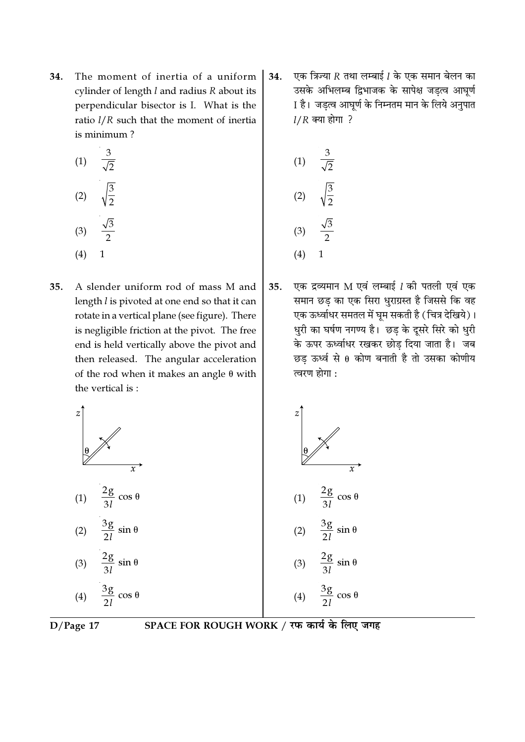The moment of inertia of a uniform 34. cylinder of length  $l$  and radius  $R$  about its perpendicular bisector is I. What is the ratio  $l/R$  such that the moment of inertia is minimum?

(1) 
$$
\frac{3}{\sqrt{2}}
$$
  
\n(2)  $\sqrt{\frac{3}{2}}$   
\n(3)  $\frac{\sqrt{3}}{2}$ 

- $(4) 1$
- A slender uniform rod of mass M and 35. length *l* is pivoted at one end so that it can rotate in a vertical plane (see figure). There is negligible friction at the pivot. The free end is held vertically above the pivot and then released. The angular acceleration of the rod when it makes an angle  $\theta$  with the vertical is:

एक त्रिज्या  $R$  तथा लम्बाई  $l$  के एक समान बेलन का 34. उसके अभिलम्ब द्विभाजक के सापेक्ष जड़त्व आघूर्ण I है। जड़त्व आघूर्ण के निम्नतम मान के लिये अनुपात  $1/R$  क्या होगा ?

(1) 
$$
\frac{3}{\sqrt{2}}
$$
  
\n(2)  $\sqrt{\frac{3}{2}}$   
\n(3)  $\frac{\sqrt{3}}{2}$   
\n(4) 1

एक द्रव्यमान M एवं लम्बाई 1 की पतली एवं एक 35. समान छड़ का एक सिरा धुराग्रस्त है जिससे कि वह एक ऊर्ध्वाधर समतल में घुम सकती है (चित्र देखिये)। धुरी का घर्षण नगण्य है। छड़ के दूसरे सिरे को धुरी के ऊपर ऊर्ध्वाधर रखकर छोड दिया जाता है। जब छड ऊर्ध्व से 0 कोण बनाती है तो उसका कोणीय त्वरण होगा :

$$
\begin{array}{c|c}\nz \\
\theta \\
\hline\n\end{array}
$$
\n
$$
\begin{array}{c}\nz \\
\theta \\
\hline\n\end{array}
$$
\n
$$
\begin{array}{c}\nz \\
\theta \\
\hline\n\end{array}
$$
\n
$$
\begin{array}{c}\nz \\
\theta \\
\hline\n\end{array}
$$
\n
$$
\begin{array}{c}\nz \\
\theta \\
\hline\n\end{array}
$$
\n
$$
\begin{array}{c}\nz \\
\theta \\
\hline\n\end{array}
$$
\n
$$
\begin{array}{c}\nz \\
\theta \\
\hline\n\end{array}
$$
\n
$$
\begin{array}{c}\nz \\
\theta \\
\hline\n\end{array}
$$
\n
$$
\begin{array}{c}\nz \\
\theta \\
\hline\n\end{array}
$$
\n
$$
\begin{array}{c}\nz \\
\theta \\
\hline\n\end{array}
$$
\n
$$
\begin{array}{c}\n(1) & \frac{2g}{3l} \cos \theta \\
(2) & \frac{3g}{2l} \sin \theta \\
(3) & \frac{2g}{3l} \sin \theta \\
(4) & \frac{3g}{2l} \cos \theta\n\end{array}
$$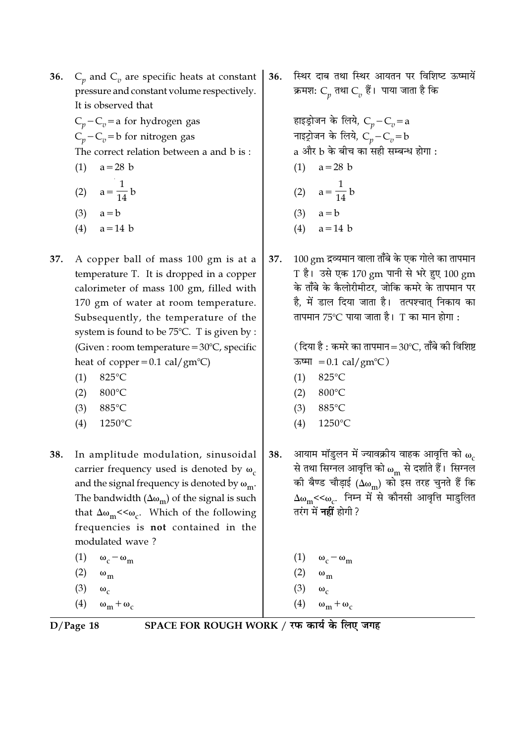- $C_n$  and  $C_n$  are specific heats at constant **36.** pressure and constant volume respectively. It is observed that
	- $C_p C_v =$ a for hydrogen gas  $C_p - C_v = b$  for nitrogen gas The correct relation between a and b is:  $(1)$  $a = 28$  b
	- (2)  $a = \frac{1}{14} b$
	- $(3)$  $a = b$
	- $(4)$  $a = 14$  b
- 37. A copper ball of mass 100 gm is at a temperature T. It is dropped in a copper calorimeter of mass 100 gm, filled with 170 gm of water at room temperature. Subsequently, the temperature of the system is found to be 75°C. T is given by : (Given : room temperature =  $30^{\circ}$ C, specific heat of copper =  $0.1$  cal/gm<sup>o</sup>C)
	- 825°C  $(1)$
	- $(2)$ 800°C
	- $(3)$ 885°C
	- 1250°C  $(4)$
- In amplitude modulation, sinusoidal 38. carrier frequency used is denoted by  $\omega_c$ and the signal frequency is denoted by  $\omega_{\rm m}$ . The bandwidth  $(\Delta\omega_m)$  of the signal is such that  $\Delta\omega_m$ << $\omega_c$ . Which of the following frequencies is not contained in the modulated wave?
	- $(1)$  $\omega_c - \omega_m$  $(2)$  $\omega_{\rm m}$
	- $(3)$  $\omega_c$
	- (4)  $\omega_m + \omega_c$

स्थिर दाब तथा स्थिर आयतन पर विशिष्ट ऊष्मायें 36. क्रमश:  $C_p$  तथा  $C_v$  हैं। पाया जाता है कि

> हाइड्रोजन के लिये,  $C_n - C_n = a$ नाइट्रोजन के लिये,  $C_n - C_n = b$ a और b के बीच का सही सम्बन्ध होगा : (1)  $a = 28 b$ (2)  $a = \frac{1}{14} b$  $(3)$  $a = b$

- $(4)$  $a = 14$  b
- $100\,\mathrm{gm}$  द्रव्यमान वाला ताँबे के एक गोले का तापमान 37. T है। उसे एक 170 gm पानी से भरे हुए 100 gm के ताँबे के कैलोरीमीटर, जोकि कमरे के तापमान पर है, में डाल दिया जाता है। तत्पश्चात् निकाय का तापमान 75℃ पाया जाता है। T का मान होगा :

(दिया है : कमरे का तापमान=30°C, ताँबे की विशिष्ट ऊष्मा =  $0.1 \text{ cal/gm}^{\circ}$ C)

- 825°C  $(1)$
- 800°C  $(2)$
- $(3)$ 885°C
- 1250°C  $(4)$
- आयाम मॉडुलन में ज्यावक्रीय वाहक आवृत्ति को  $\omega_{\rm c}$ 38. से तथा सिग्नल आवृत्ति को wm से दर्शाते हैं। सिग्नल की बैण्ड चौड़ाई ( $\Delta\omega_{\rm m}$ ) को इस तरह चुनते हैं कि  $\Delta\omega_{\rm m}$ < $\epsilon\omega_{\rm c}$ . निम्न में से कौनसी आवृत्ति माडुलित तरंग में **नहीं** होगी ?
	- $\omega_c \omega_m$
	- $\omega_{\rm m}$
	- $\omega_c$
	- $\omega_m + \omega_c$

 $D/Page$  18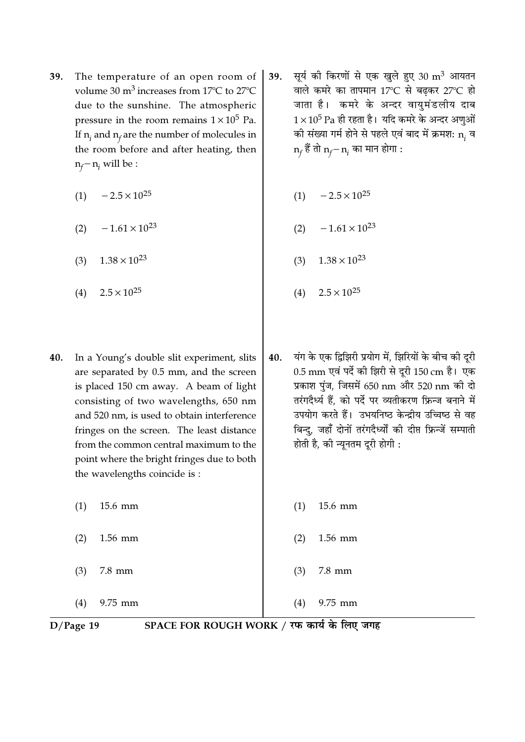- The temperature of an open room of 39. volume 30  $m^3$  increases from 17 $\degree$ C to 27 $\degree$ C due to the sunshine. The atmospheric pressure in the room remains  $1 \times 10^5$  Pa. If  $n_i$  and  $n_f$  are the number of molecules in the room before and after heating, then  $n_f - n_i$  will be :
	- $-2.5 \times 10^{25}$  $(1)$
	- $-1.61 \times 10^{23}$  $(2)$
	- $1.38 \times 10^{23}$  $(3)$
	- $2.5 \times 10^{25}$  $(4)$
- 40. In a Young's double slit experiment, slits are separated by 0.5 mm, and the screen is placed 150 cm away. A beam of light consisting of two wavelengths, 650 nm and 520 nm, is used to obtain interference fringes on the screen. The least distance from the common central maximum to the point where the bright fringes due to both the wavelengths coincide is :
	- $(1)$ 15.6 mm
	- $(2)$

1.56 mm

 $(3)$  $7.8 \text{ mm}$ 

9.75 mm  $(4)$ 

- सूर्य की किरणों से एक खुले हुए 30 m<sup>3</sup> आयतन 39. वाले कमरे का तापमान 17°C से बढ़कर 27°C हो जाता है। कमरे के अन्दर वायुमंडलीय दाब  $1\times10^5$  Pa ही रहता है। यदि कमरे के अन्दर अणुओं की संख्या गर्म होने से पहले एवं बाद में क्रमश: n, व  $n_f$  हैं तो  $n_f - n_i$  का मान होगा :
	- $-2.5 \times 10^{25}$  $(1)$
	- $-1.61 \times 10^{23}$  $(2)$
	- $1.38 \times 10^{23}$  $(3)$
	- $2.5 \times 10^{25}$  $(4)$
- 40. यंग के एक द्विझिरी प्रयोग में, झिरियों के बीच की दूरी 0.5 mm एवं पर्दे की झिरी से दुरी 150 cm है। एक प्रकाश पुंज, जिसमें 650 nm और 520 nm की दो तरंगदैर्ध्य हैं. को पर्दे पर व्यतीकरण फ्रिन्ज बनाने में उपयोग करते हैं। उभयनिष्ठ केन्द्रीय उच्चिष्ठ से वह बिन्दु, जहाँ दोनों तरंगदैर्ध्यों की दीप्त फ्रिन्जें सम्पाती होती है, की न्यूनतम दूरी होगी :
	- $(1)$ 15.6 mm
	- $(2)$ 1.56 mm
	- $(3)$  $7.8 \text{ mm}$
- 9.75 mm  $(4)$

 $D/Page$  19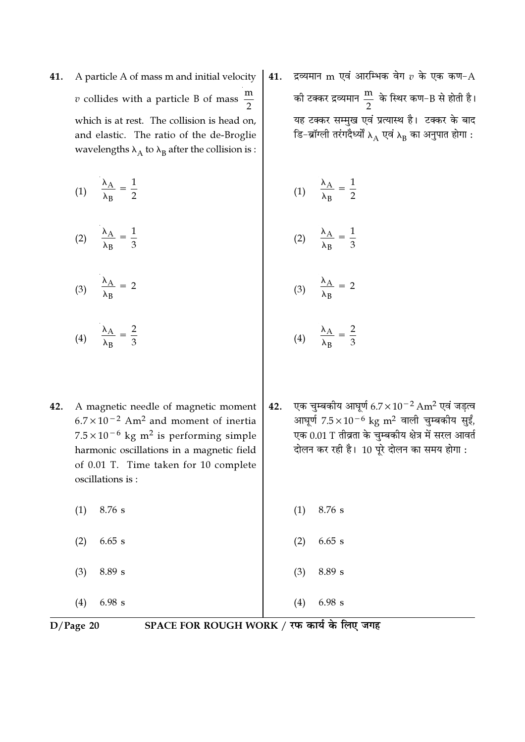A particle A of mass m and initial velocity 41. *v* collides with a particle B of mass  $\frac{m}{2}$ which is at rest. The collision is head on, and elastic. The ratio of the de-Broglie wavelengths  $\lambda_A$  to  $\lambda_B$  after the collision is:

$$
(1) \quad \frac{\lambda_A}{\lambda_B} = \frac{1}{2} \tag{1} \quad \frac{\lambda_A}{\lambda_B} = \frac{1}{2}
$$

$$
(2) \qquad \frac{\lambda_{\rm A}}{\lambda_{\rm B}} = \frac{1}{3}
$$

- (3)  $\frac{\lambda_A}{\lambda_B} = 2$
- (4)  $\frac{\lambda_{\rm A}}{\lambda_{\rm B}} = \frac{2}{3}$
- 42. A magnetic needle of magnetic moment  $6.7 \times 10^{-2}$  Am<sup>2</sup> and moment of inertia  $7.5 \times 10^{-6}$  kg m<sup>2</sup> is performing simple harmonic oscillations in a magnetic field of 0.01 T. Time taken for 10 complete oscillations is:
	- 8.76 s  $(1)$
	- $(2)$  $6.65$  s
	- $(3)$ 8.89 s
	- 6.98 s  $(4)$

द्रव्यमान m एवं आरम्भिक वेग  $v$  के एक कण- ${\rm A}$ 41. की टक्कर द्रव्यमान $\frac{\text{m}}{2}$  के स्थिर कण–B से होती है। यह टक्कर सम्मुख एवं प्रत्यास्थ है। टक्कर के बाद डि-ब्रॉग्ली तरंगदैर्ध्यों  $\lambda_\mathrm{A}$  एवं  $\lambda_\mathrm{B}$  का अनुपात होगा :

$$
(1) \qquad \frac{\lambda_{\rm A}}{\lambda_{\rm B}} = \frac{1}{2}
$$

$$
(2) \qquad \frac{\lambda_{\rm A}}{\lambda_{\rm B}} = \frac{1}{3}
$$

$$
(3) \quad \frac{\lambda_{\rm A}}{\lambda_{\rm B}} = 2
$$

$$
(4) \qquad \frac{\lambda_{\rm A}}{\lambda_{\rm B}} = \frac{2}{3}
$$

एक चुम्बकीय आघूर्ण  $6.7 \times 10^{-2}$  Am<sup>2</sup> एवं जड़त्व 42. आघूर्ण  $7.5 \times 10^{-6}$  kg m<sup>2</sup> वाली चुम्बकीय सुईं, एक 0.01 T तीव्रता के चुम्बकीय क्षेत्र में सरल आवर्त दोलन कर रही है। 10 पूरे दोलन का समय होगा :

> 8.76 s  $(1)$

- $(2)$  $6.65 s$
- $(3)$ 8.89 s

 $(4)$ 

6.98 s

 $D/Page$  20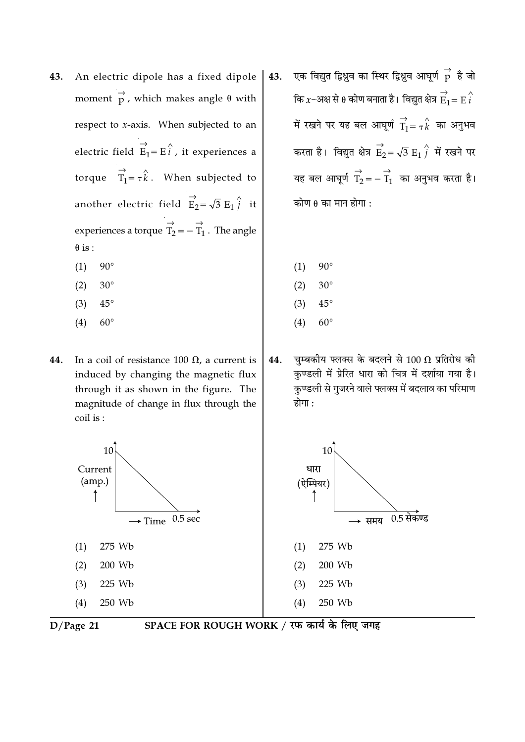- 43. An electric dipole has a fixed dipole moment  $\overrightarrow{p}$ , which makes angle  $\theta$  with respect to  $x$ -axis. When subjected to an electric field  $\overrightarrow{E_1} = \overrightarrow{E}_i$ , it experiences a torque  $\overrightarrow{T_1} = \tau \hat{k}$ . When subjected to another electric field  $\vec{E}_2 = \sqrt{3} E_1 \hat{i}$  it experiences a torque  $\overrightarrow{T_2} = -\overrightarrow{T_1}$ . The angle  $\theta$  is :
	- $90^\circ$  $(1)$
	- $(2)$  $30^\circ$
	- $(3)$  $45^{\circ}$
	- $(4)$  $60^{\circ}$
- 44. In a coil of resistance 100  $\Omega$ , a current is induced by changing the magnetic flux through it as shown in the figure. The magnitude of change in flux through the coil is:
	- $10<sup>1</sup>$ Current  $(am.)$  $\uparrow$  $0.5<sub>sec</sub>$  $\rightarrow$  Time 275 Wh  $(1)$ 200 Wb  $(2)$ 225 Wb  $(3)$  $(4)$ 250 Wb
- एक विद्युत द्विध्नुव का स्थिर द्विध्नुव आघूर्ण  $\stackrel{\rightarrow}{p}$  है जो 43. कि  $x$ –अक्ष से  $\theta$  कोण बनाता है। विद्युत क्षेत्र  $\overrightarrow{E}_1 = E\overrightarrow{i}$ में रखने पर यह बल आघूर्ण  $\overrightarrow{T}_1 = \tau \overrightarrow{k}$  का अनुभव करता है। विद्युत क्षेत्र  $\overrightarrow{E}_2 = \sqrt{3} E_1 \overleftrightarrow{j}$  में रखने पर यह बल आघूर्ण  $\overrightarrow{T}_2 = -\overrightarrow{T}_1$  का अनुभव करता है। कोण  $\theta$  का मान होगा :
	- $90^\circ$  $(1)$
	- $(2)$  $30^\circ$
	- $(3)$  $45^{\circ}$
	- $(4)$  $60^\circ$
- चुम्बकीय फ्लक्स के बदलने से 100  $\Omega$  प्रतिरोध की 44. कुण्डली में प्रेरित धारा को चित्र में दर्शाया गया है। कुण्डली से गुजरने वाले फ्लक्स में बदलाव का परिमाण होगा :



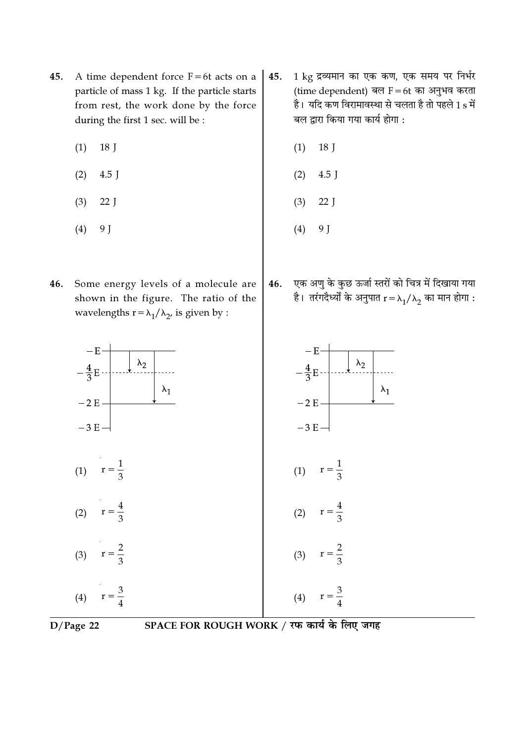- 45. A time dependent force  $F=6t$  acts on a particle of mass 1 kg. If the particle starts from rest, the work done by the force during the first 1 sec. will be :
	- $(1)$  18 J
	- $(2)$  4.5 J
	- (3) 22 J
	- (4) 9 J
- 46. Some energy levels of a molecule are shown in the figure. The ratio of the wavelengths  $r = \lambda_1 / \lambda_2$ , is given by :
- $45.$  1 kg द्रव्यमान का एक कण, एक समय पर निर्भर (time dependent) बल  $F = 6t$  का अनुभव करता है। यदि कण विरामावस्था से चलता है तो पहले 1 $\,$ s में बल द्वारा किया गया कार्य होगा $:$ 
	- (1) 18 J
	- $(2)$  4.5 J
	- (3) 22 J
	- (4) 9 J
- 46. एक अणु के कुछ ऊर्जा स्तरों को चित्र में दिखाया गया है। तरंगदैर्ध्यों के अनुपात  $\rm r\,{=}\, \lambda_1/\lambda_2$  का मान होगा :





D/Page 22 SPACE FOR ROUGH WORK / रफ कार्य के लिए जगह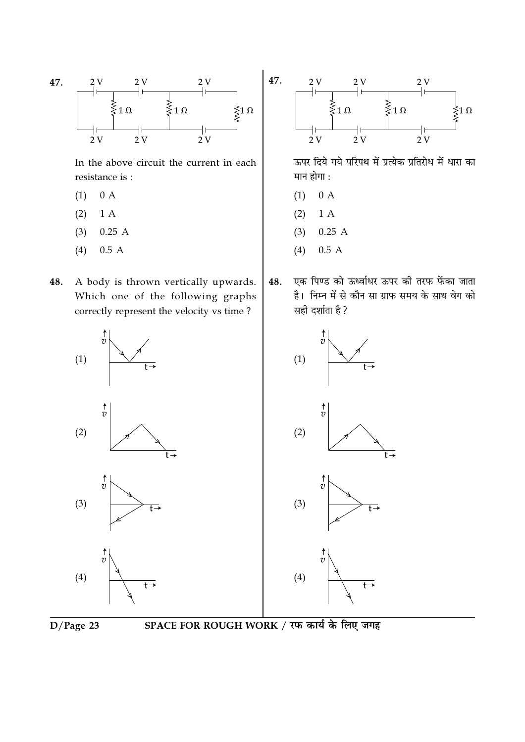

In the above circuit the current in each resistance is :

- $(1)$  $0 A$
- 1 A  $(2)$
- $(3)$  $0.25A$
- $0.5A$  $(4)$
- A body is thrown vertically upwards. 48. Which one of the following graphs correctly represent the velocity vs time?



ऊपर दिये गये परिपथ में प्रत्येक प्रतिरोध में धारा का मान होगा :

- $0 A$  $(1)$
- $1A$  $(2)$
- $(3)$  $0.25A$
- $0.5A$  $(4)$
- एक पिण्ड को ऊर्ध्वाधर ऊपर की तरफ फेंका जाता 48. है। निम्न में से कौन सा ग्राफ समय के साथ वेग को सही दर्शाता है ?







SPACE FOR ROUGH WORK / रफ कार्य के लिए जगह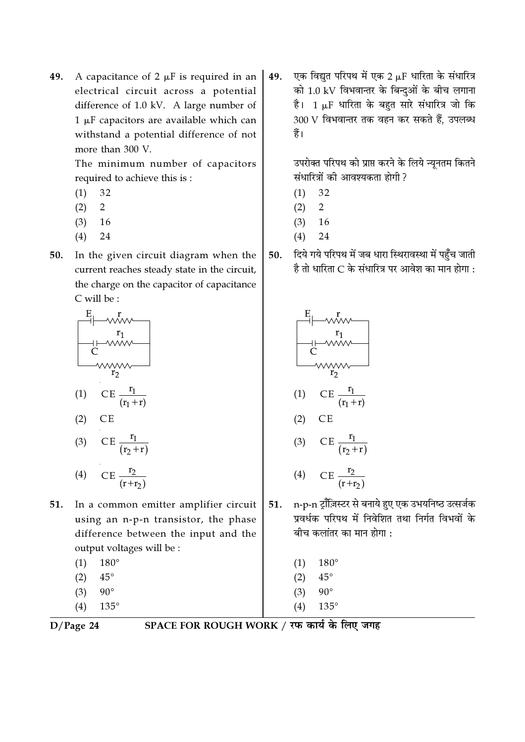A capacitance of 2  $\mu$ F is required in an 49. electrical circuit across a potential difference of 1.0 kV. A large number of  $1 \mu$ F capacitors are available which can withstand a potential difference of not more than 300 V.

> The minimum number of capacitors required to achieve this is :

- 32  $(1)$
- 2  $(2)$
- $(3)$  16
- $(4)$ 24
- 50. In the given circuit diagram when the current reaches steady state in the circuit, the charge on the capacitor of capacitance C will be:



$$
(3) \qquad \mathbf{CE} \; \frac{\mathbf{r}_1}{(\mathbf{r}_2 + \mathbf{r})}
$$

$$
(4) \qquad CE \frac{r_2}{(r+r_2)}
$$

- In a common emitter amplifier circuit 51. using an n-p-n transistor, the phase difference between the input and the output voltages will be :
	- $(1)$  $180^\circ$
	- $45^{\circ}$  $(2)$
	- $(3)$  $90^{\circ}$
	- $135^\circ$  $(4)$

एक विद्युत परिपथ में एक 2 µF धारिता के संधारित्र 49. को 1.0 kV विभवान्तर के बिन्दुओं के बीच लगाना है। 1 µF धारिता के बहुत सारे संधारित्र जो कि 300 V विभवान्तर तक वहन कर सकते हैं, उपलब्ध हैं।

> उपरोक्त परिपथ को प्राप्त करने के लिये न्यूनतम कितने संधारित्रों की आवश्यकता होगी ?

- 32  $(1)$
- $\overline{2}$  $(2)$
- $(3)$ 16
- $(4)$ 24
- दिये गये परिपथ में जब धारा स्थिरावस्था में पहुँच जाती  $50.$ है तो धारिता C के संधारित्र पर आवेश का मान होगा :



- n-p-n ट्रॉजिस्टर से बनाये हुए एक उभयनिष्ठ उत्सर्जक 51. प्रवर्धक परिपथ में निवेशित तथा निर्गत विभवों के बीच कलांतर का मान होगा :
	- $180^\circ$  $(1)$  $(2)$  $45^{\circ}$
	- $(3)$  $90^{\circ}$
	- $(4)$  $135^\circ$

 $D/Page$  24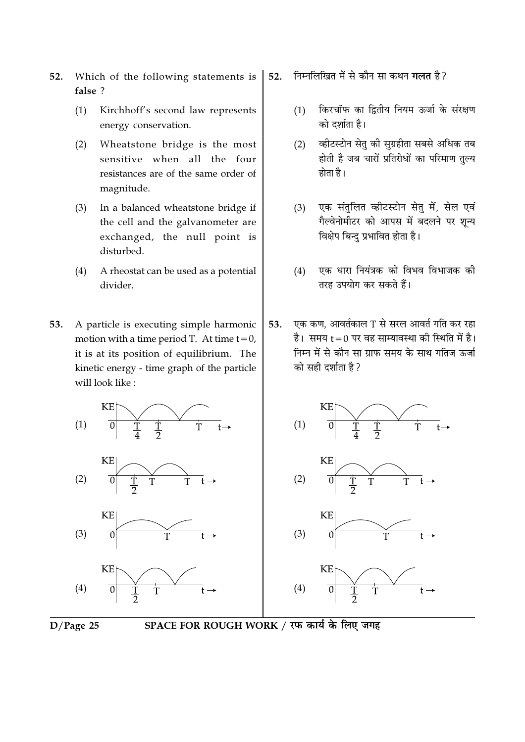- Which of the following statements is 52. false ?
	- $(1)$ Kirchhoff's second law represents energy conservation.
	- Wheatstone bridge is the most  $(2)$ sensitive when all the four resistances are of the same order of magnitude.
	- In a balanced wheatstone bridge if  $(3)$ the cell and the galvanometer are exchanged, the null point is disturbed.
	- $(4)$ A rheostat can be used as a potential divider.
- 53. A particle is executing simple harmonic motion with a time period T. At time  $t = 0$ , it is at its position of equilibrium. The kinetic energy - time graph of the particle will look like:
	- **KE**  $(1)$ KF  $(2)$ KE  $(3)$



- निम्नलिखित में से कौन सा कथन **गलत** है ? 52.
	- किरचॉफ का द्वितीय नियम ऊर्जा के संरक्षण  $(1)$ को दर्शाता है।
	- व्हीटस्टोन सेतु की सुग्रहीता सबसे अधिक तब  $(2)$ होती है जब चारों प्रतिरोधों का परिमाण तुल्य होता है।
	- एक संतुलित व्हीटस्टोन सेत में, सेल एवं  $(3)$ गैल्वेनोमीटर को आपस में बदलने पर शुन्य विक्षेप बिन्द प्रभावित होता है।
	- $(4)$ एक धारा नियंत्रक को विभव विभाजक की तरह उपयोग कर सकते हैं।
- एक कण, आवर्तकाल T से सरल आवर्त गति कर रहा 53. है। समय t = 0 पर वह साम्यावस्था की स्थिति में है। निम्न में से कौन सा ग्राफ समय के साथ गतिज ऊर्जा को सही दर्शाता है ?



SPACE FOR ROUGH WORK / रफ कार्य के लिए जगह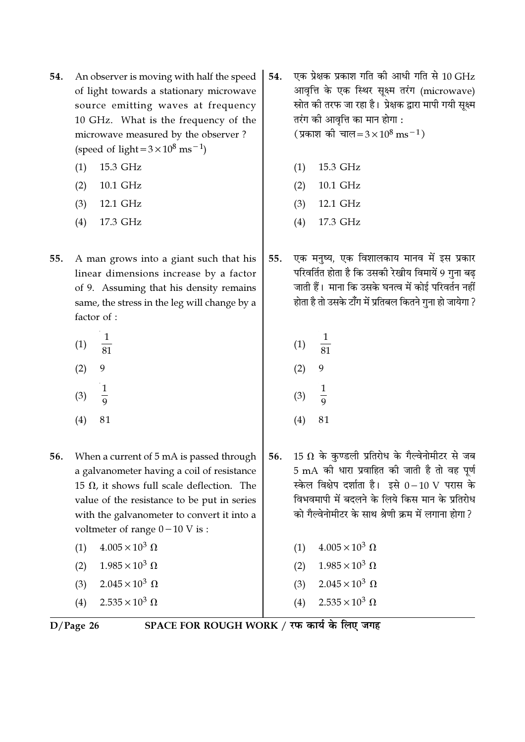- 54. An observer is moving with half the speed of light towards a stationary microwave source emitting waves at frequency 10 GHz. What is the frequency of the microwave measured by the observer? (speed of light =  $3 \times 10^8$  ms<sup>-1</sup>)
	- 15.3 GHz  $(1)$
	- $(2)$ 10.1 GHz
	- $(3)$ 12.1 GHz
	- 17.3 GHz  $(4)$
- A man grows into a giant such that his 55. linear dimensions increase by a factor of 9. Assuming that his density remains same, the stress in the leg will change by a factor of :
	- $(1)$  $\overline{81}$  $(2)$
	- $\frac{1}{9}$  $(3)$
	-
	- $(4)$ 81
- 56. When a current of 5 mA is passed through a galvanometer having a coil of resistance 15  $\Omega$ , it shows full scale deflection. The value of the resistance to be put in series with the galvanometer to convert it into a voltmeter of range  $0-10$  V is:
	- $4.005 \times 10^3 \Omega$  $(1)$
	- $1.985 \times 10^3 \Omega$  $(2)$
	- $2.045 \times 10^3 \Omega$  $(3)$
	- $2.535 \times 10^3 \Omega$  $(4)$

आवृत्ति के एक स्थिर सूक्ष्म तरंग (microwave) स्रोत की तरफ जा रहा है। प्रेक्षक द्वारा मापी गयी सूक्ष्म तरंग की आवृत्ति का मान होगा : (प्रकाश की चाल=3×10<sup>8</sup> ms<sup>-1</sup>)  $(1)$ 15.3 GHz

एक प्रेक्षक प्रकाश गति की आधी गति से 10 GHz

 $(2)$ 10.1 GHz

54.

- $(3)$ 12.1 GHz
- 17.3 GHz  $(4)$
- एक मनुष्य, एक विशालकाय मानव में इस प्रकार 55. परिवर्तित होता है कि उसकी रेखीय विमायें 9 गुना बढ जाती हैं। माना कि उसके घनत्व में कोई परिवर्तन नहीं होता है तो उसके टाँग में प्रतिबल कितने गुना हो जायेगा ?
	- $\frac{1}{81}$  $(1)$  $(2)$  $\mathbf{1}$  $(3)$  $(4)$ 81
- 15  $\Omega$  के कुण्डली प्रतिरोध के गैल्वेनोमीटर से जब 56. 5 mA की धारा प्रवाहित की जाती है तो वह पूर्ण स्केल विक्षेप दर्शाता है। इसे 0-10 V परास के विभवमापी में बदलने के लिये किस मान के प्रतिरोध को गैल्वेनोमीटर के साथ श्रेणी क्रम में लगाना होगा ?
	- (1)  $4.005 \times 10^3 \Omega$ (2)  $1.985 \times 10^3 \Omega$ 
		- $2.045 \times 10^3 \Omega$  $(3)$
		- $2.535 \times 10^3 \Omega$  $(4)$

 $D/Page$  26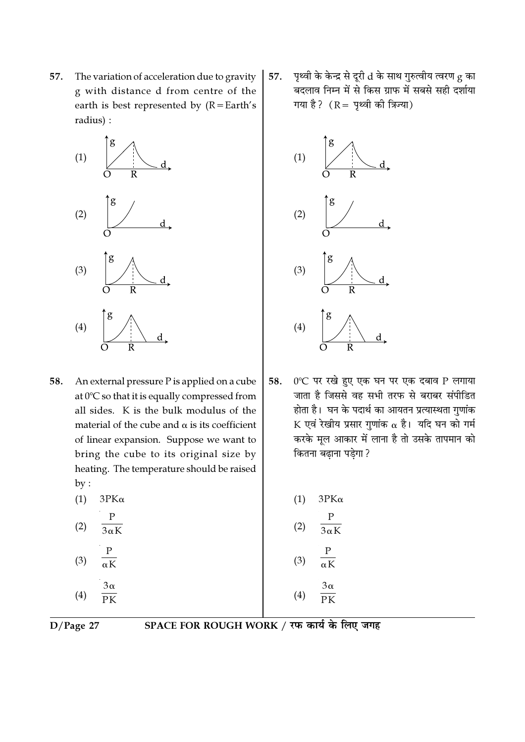57. The variation of acceleration due to gravity g with distance d from centre of the earth is best represented by  $(R = Earth's)$ radius) :



58. An external pressure  $P$  is applied on a cube at 0°C so that it is equally compressed from all sides. K is the bulk modulus of the material of the cube and  $\alpha$  is its coefficient of linear expansion. Suppose we want to bring the cube to its original size by heating. The temperature should be raised  $by:$ 

| (1) | ЗΡΚα |
|-----|------|
|     |      |

- $\mathbf{P}$  $(2)$  $\overline{3\alpha K}$
- $(3)$  $3\alpha$  $(4)$  $PK$

पृथ्वी के केन्द्र से दूरी d के साथ गुरुत्वीय त्वरण g का 57. बदलाव निम्न में से किस ग्राफ में सबसे सही दर्शाया गया है?  $(R = \frac{1}{2}$ थ्वी की त्रिज्या)



0°C पर रखे हुए एक घन पर एक दबाव P लगाया 58. जाता है जिससे वह सभी तरफ से बराबर संपीडित होता है। घन के पदार्थ का आयतन प्रत्यास्थता गुणांक K एवं रेखीय प्रसार गुणांक  $\alpha$  है। यदि घन को गर्म करके मल आकार में लाना है तो उसके तापमान को कितना बढाना पडेगा ?

| (1) | $3PK\alpha$      |
|-----|------------------|
| (2) | P<br>$3\alpha K$ |
| (3) | P<br>$\alpha K$  |
| (4) | $3\alpha$<br>PK  |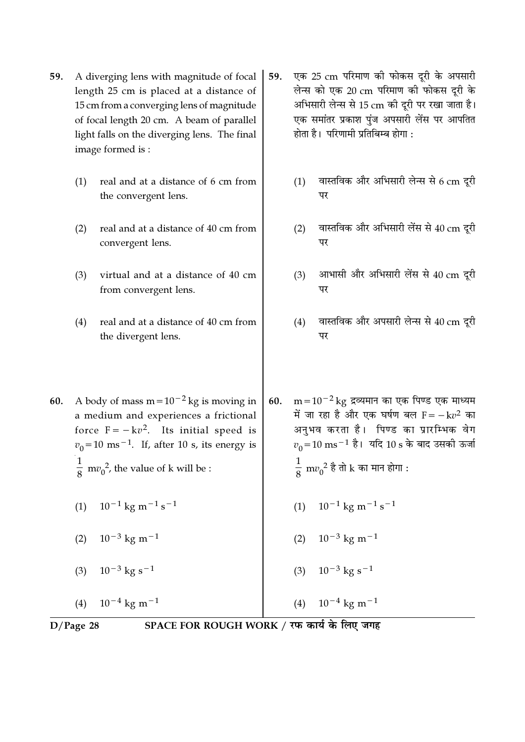- 59. A diverging lens with magnitude of focal length 25 cm is placed at a distance of 15 cm from a converging lens of magnitude of focal length 20 cm. A beam of parallel light falls on the diverging lens. The final image formed is :
	- (1) real and at a distance of 6 cm from the convergent lens.
	- (2) real and at a distance of 40 cm from convergent lens.
	- (3) virtual and at a distance of 40 cm from convergent lens.
	- (4) real and at a distance of 40 cm from the divergent lens.
- 59. एक 25 cm परिमाण की फोकस दूरी के अपसारी लेन्स को एक 20 cm परिमाण की फोकस दूरी के अभिसारी लेन्स से 15 cm की दूरी पर रखा जाता है। एक समांतर प्रकाश पुंज अपसारी लेंस पर आपतित होता है। परिणामी प्रतिबिम्ब होगा :
	- $(1)$  वास्तविक और अभिसारी लेन्स से 6 cm दुरी पर
	- (2) वास्तविक और अभिसारी लेंस से  $40 \text{ cm}$  दरी पर
	- $(3)$  आभासी और अभिसारी लेंस से 40 cm दरी पर
	- $(4)$  वास्तविक और अपसारी लेन्स से  $40 \text{ cm}$  दूरी पर
- 60. m= $10^{-2}$ kg द्रव्यमान का एक पिण्ड एक माध्यम में जा रहा है और एक घर्षण बल  $\mathrm{F}=-\mathrm{\,k} v^2$  का अनभव करता है। पिण्ड का प्रारम्भिक वेग  $v_{\rm 0}$ =10 ms $^{-1}$  है। यदि 10 s के बाद उसकी ऊर्जा 1  $\frac{1}{8}$  m $v_0^{\ 2}$  है तो  $\rm k$  का मान होगा :
	- $(1)$  10<sup>-1</sup> kg m<sup>-1</sup> s<sup>-1</sup>
	- $(2)$  10<sup>-3</sup> kg m<sup>-1</sup>
	- $(3)$  10<sup>-3</sup> kg s<sup>-1</sup>

 $(4)$  10<sup>-4</sup> kg m<sup>-1</sup>

(4) 
$$
10^{-4}
$$
 kg m<sup>-1</sup>

D/Page 28 SPACE FOR ROUGH WORK / रफ कार्य के लिए जगह

60. A body of mass m= $10^{-2}$  kg is moving in a medium and experiences a frictional force  $F = -kv^2$ . Its initial speed is  $v_0$ =10 ms<sup>−1</sup>. If, after 10 s, its energy is 1  $\frac{1}{8}$  m $v_0^2$ , the value of k will be :

- $(1)$  10<sup>-1</sup> kg m<sup>-1</sup> s<sup>-1</sup>
- $(2)$  10<sup>-3</sup> kg m<sup>-1</sup>
- $(3)$  10<sup>-3</sup> kg s<sup>-1</sup>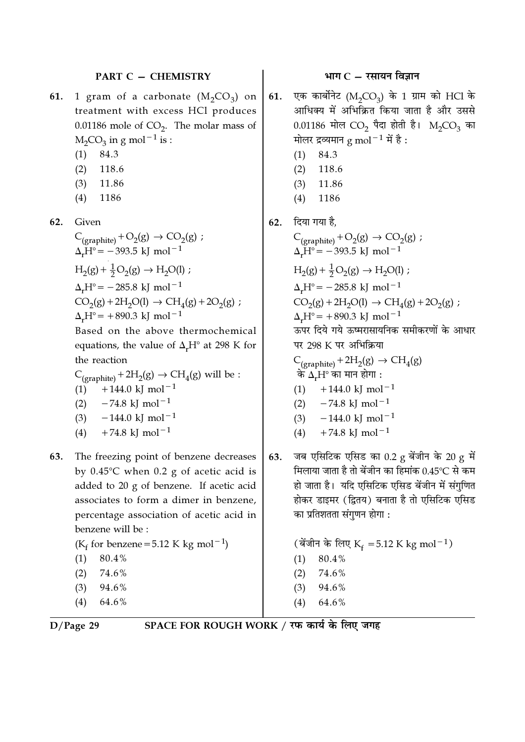#### PART C - CHEMISTRY

- 1 gram of a carbonate  $(M_2CO_3)$  on 61. treatment with excess HCl produces 0.01186 mole of  $CO<sub>2</sub>$ . The molar mass of  $M_2CO_3$  in g mol<sup>-1</sup> is :
	- 84.3  $(1)$
	- $(2)$ 118.6
	- $(3)$ 11.86
	- $(4)$ 1186

62. Given

$$
C_{(graphite)} + O_2(g) \rightarrow CO_2(g) ;
$$
  
\n
$$
\Delta_r H^\circ = -393.5 \text{ kJ} \text{ mol}^{-1}
$$
  
\n
$$
H_2(g) + \frac{1}{2}O_2(g) \rightarrow H_2O(l) ;
$$
  
\n
$$
\Delta_r H^\circ = -285.8 \text{ kJ} \text{ mol}^{-1}
$$
  
\n
$$
CO_2(g) + 2H_2O(l) \rightarrow CH_4(g) + 2O_2(g) ;
$$
  
\n
$$
\Delta_r H^\circ = +890.3 \text{ kJ} \text{ mol}^{-1}
$$

Based on the above thermochemical equations, the value of  $\Delta_r H^{\circ}$  at 298 K for the reaction

$$
C_{(graphite)} + 2H_2(g) \rightarrow CH_4(g) \text{ will be :}
$$
  
(1) +144.0 kJ mol<sup>-1</sup>  
(2) -74.8 kJ mol<sup>-1</sup>  
(3) -144.0 kJ mol<sup>-1</sup>  
(4) +74.8 kJ mol<sup>-1</sup>

- 63. The freezing point of benzene decreases by  $0.45^{\circ}$ C when  $0.2$  g of acetic acid is added to 20 g of benzene. If acetic acid associates to form a dimer in benzene, percentage association of acetic acid in benzene will be:
	- ( $K_f$  for benzene = 5.12 K kg mol<sup>-1</sup>)  $(1)$ 80.4%
	- 74.6%  $(2)$
	- $(3)$ 94.6%
	- $(4)$ 64.6%

### भाग $C - \overline{C}$ रसायन विज्ञान

- एक कार्बोनेट ( $M_2CO_3$ ) के 1 ग्राम को HCl के 61. आधिक्य में अभिक्रित किया जाता है और उससे 0.01186 मोल CO<sub>2</sub> पैदा होती है। M<sub>2</sub>CO<sub>3</sub> का मोलर द्रव्यमान g mol $^{-1}$  में है:
	- 84.3  $(1)$
	- 118.6  $(2)$
	- $(3)$ 11.86
	- $(4)$ 1186
- 62. दिया गया है.

$$
C_{(graphite)} + O_2(g) \rightarrow CO_2(g);
$$
\n
$$
\Delta_r H^\circ = -393.5 \text{ kJ mol}^{-1}
$$
\n
$$
H_2(g) + \frac{1}{2}O_2(g) \rightarrow H_2O(l);
$$
\n
$$
\Delta_r H^\circ = -285.8 \text{ kJ mol}^{-1}
$$
\n
$$
CO_2(g) + 2H_2O(l) \rightarrow CH_4(g) + 2O_2(g);
$$
\n
$$
\Delta_r H^\circ = +890.3 \text{ kJ mol}^{-1}
$$
\n
$$
\overline{\text{av}} \overline{\text{v}} \overline{\text{c}} \overline{\text{v}} \overline{\text{v}} \overline{\text{v}} \overline{\text{v}} \overline{\text{v}} \overline{\text{v}} \overline{\text{v}} \overline{\text{v}} \overline{\text{v}} \overline{\text{v}} \overline{\text{v}} \overline{\text{v}} \overline{\text{v}} \overline{\text{v}} \overline{\text{v}} \overline{\text{v}} \overline{\text{v}} \overline{\text{v}} \overline{\text{v}} \overline{\text{v}} \overline{\text{v}} \overline{\text{v}} \overline{\text{v}} \overline{\text{v}} \overline{\text{v}} \overline{\text{v}} \overline{\text{v}} \overline{\text{v}} \overline{\text{v}} \overline{\text{v}} \overline{\text{v}} \overline{\text{v}} \overline{\text{v}} \overline{\text{v}} \overline{\text{v}} \overline{\text{v}} \overline{\text{v}} \overline{\text{v}} \overline{\text{v}} \overline{\text{v}} \overline{\text{v}} \overline{\text{v}} \overline{\text{v}} \overline{\text{v}} \overline{\text{v}} \overline{\text{v}} \overline{\text{v}} \overline{\text{v}} \overline{\text{v}} \overline{\text{v}} \overline{\text{v}} \overline{\text{v}} \overline{\text{v}} \overline{\text{v}} \overline{\text{v}} \overline{\text{v}} \overline{\text{v}} \overline{\text{v}} \overline{\text{v}} \overline{\text{v}} \overline{\text{v}} \overline{\text{v}} \overline{\text{v}} \overline{\text{v}} \overline{\text{v}} \overline{\text{v}} \overline{\text{v}} \over
$$

- जब एसिटिक एसिड का 0.2 g बेंजीन के 20 g में 63. मिलाया जाता है तो बेंजीन का हिमांक 0.45℃ से कम हो जाता है। यदि एसिटिक एसिड बेंजीन में संगुणित होकर डाइमर (द्वितय) बनाता है तो एसिटिक एसिड का प्रतिशतता संगुणन होगा :
	- (बेंजीन के लिए K<sub>f</sub> = 5.12 K kg mol<sup>-1</sup>) 80.4%  $(1)$ 74.6%  $(2)$ 94.6%  $(3)$  $64.6\,\%$  $(4)$

 $D/Page$  29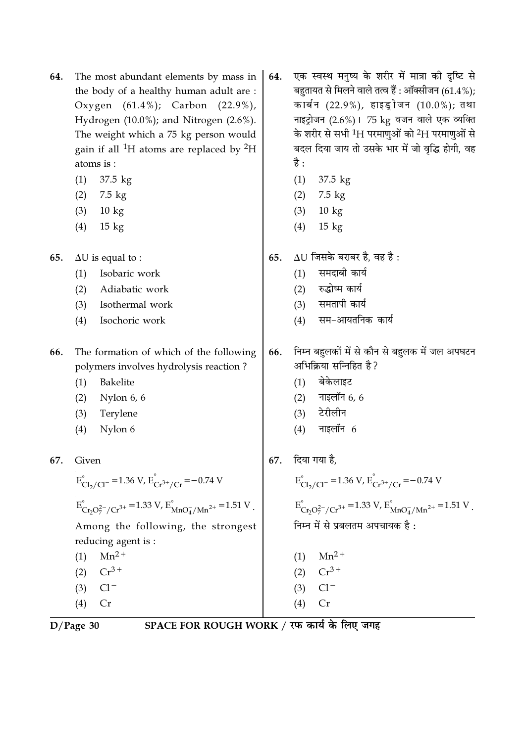| 64. | The most abundant elements by mass in                           |  |  |
|-----|-----------------------------------------------------------------|--|--|
|     | the body of a healthy human adult are :                         |  |  |
|     | Oxygen $(61.4\%)$ ; Carbon $(22.9\%)$ ,                         |  |  |
|     | Hydrogen (10.0%); and Nitrogen (2.6%).                          |  |  |
|     | The weight which a 75 kg person would                           |  |  |
|     | gain if all <sup>1</sup> H atoms are replaced by <sup>2</sup> H |  |  |
|     | atoms is:                                                       |  |  |

- $(1)$  $37.5 \text{ kg}$
- $(2)$ 7.5 kg
- $(3)$  $10 \text{ kg}$
- $(4)$  $15 \text{ kg}$

65.  $\Delta U$  is equal to :

- Isobaric work  $(1)$
- $(2)$ Adiabatic work
- $(3)$ Isothermal work
- $(4)$ Isochoric work
- 66. The formation of which of the following polymers involves hydrolysis reaction?
	- Bakelite  $(1)$
	- $(2)$ Nylon 6, 6
	- Terylene  $(3)$
	- Nylon 6  $(4)$

67. Given

$$
E_{Cl_2/Cl^-}^{\circ} = 1.36 \text{ V}, E_{Cr^{3+}/Cr}^{\circ} = -0.74 \text{ V}
$$
  
\n
$$
E_{Cr_2O_7^2/(Cr^{3+}}^{\circ} = 1.33 \text{ V}, E_{MnO_4/Mn^{2+}}^{\circ} = 1.51 \text{ V}.
$$
  
\nAmong the following, the strongest reducing agent is :  
\n(1) Mn<sup>2+</sup>  
\n(2) Cr<sup>3+</sup>

- $(3)$  $Cl^-$
- $Cr$  $(4)$
- 

 $D/Page$  30

SPACE FOR ROUGH WORK / रफ कार्य के लिए जगह

- एक स्वस्थ मनुष्य के शरीर में मात्रा की दृष्टि से 64. बहुतायत से मिलने वाले तत्व हैं : ऑक्सीजन (61.4%); कार्बन (22.9%), हाइड्रोजन (10.0%); तथा नाइट्रोजन (2.6%)। 75 kg वजन वाले एक व्यक्ति के शरीर से सभी <sup>1</sup>H परमाणुओं को <sup>2</sup>H परमाणुओं से बदल दिया जाय तो उसके भार में जो वृद्धि होगी, वह है :
	- $(1)$  37.5 kg
	- $(2)$  7.5 kg
	- $10 \text{ kg}$  $(3)$
	- $15$  kg  $(4)$
- $\Delta U$  जिसके बराबर है. वह है: 65.
	- समदाबी कार्य  $(1)$
	- रुद्धोष्म कार्य  $(2)$
	- समतापी कार्य  $(3)$
	- सम-आयतनिक कार्य  $(4)$
- निम्न बहुलकों में से कौन से बहुलक में जल अपघटन 66. अभिक्रिया सन्निहित है?
	- $(1)$  बेकेलाइट
	- $(2)$  नाइलॉन 6, 6
	- टेरीलीन  $(3)$
	- नाइलॉन  $6$  $(4)$
- 67. दिया गया है.

 $E_{Cl_2/Cl^-}^{\circ}$  = 1.36 V,  $E_{Cr^{3+}/Cr}^{\circ}$  = -0.74 V  $E_{\text{Cr}_2\text{O}_7^{2-}/\text{Cr}^{3+}}^{\circ} = 1.33 \text{ V}, E_{\text{MnO}_4^{-}/\text{Mn}^{2+}}^{\circ} = 1.51 \text{ V}.$ निम्न में से प्रबलतम अपचायक है:

- $(1)$  Mn<sup>2+</sup> (2)  $Cr^{3+}$
- 
- $Cl^ (3)$
- $Cr$  $(4)$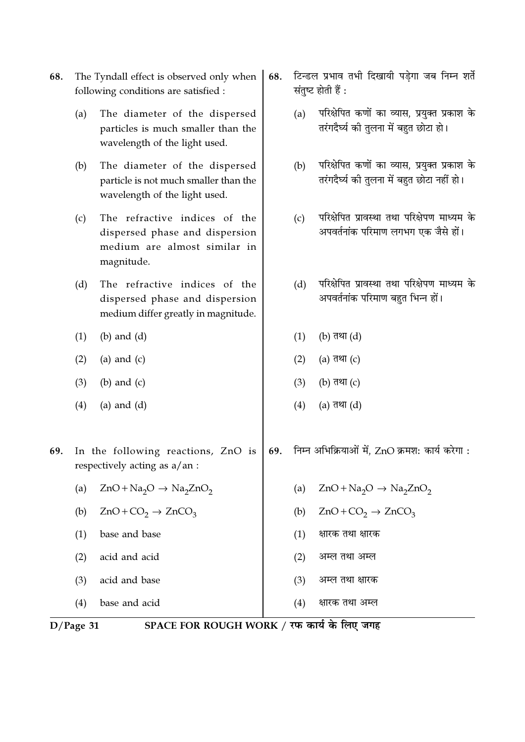- 68. The Tyndall effect is observed only when following conditions are satisfied :
	- The diameter of the dispersed  $(a)$ particles is much smaller than the wavelength of the light used.
	- The diameter of the dispersed  $(b)$ particle is not much smaller than the wavelength of the light used.
	- The refractive indices of the  $(c)$ dispersed phase and dispersion medium are almost similar in magnitude.
	- $(d)$ The refractive indices of the dispersed phase and dispersion medium differ greatly in magnitude.
	- $(b)$  and  $(d)$  $(1)$
	- $(2)$ (a) and  $(c)$
	- $(3)$  $(b)$  and  $(c)$
	- $(4)$  $(a)$  and  $(d)$
- टिन्डल प्रभाव तभी दिखायी पड़ेगा जब निम्न शर्ते 68. संतुष्ट होती हैं :
	- $(a)$ परिक्षेपित कणों का व्यास. प्रयक्त प्रकाश के तरंगदैर्घ्य की तुलना में बहुत छोटा हो।
	- परिक्षेपित कणों का व्यास, प्रयुक्त प्रकाश के  $(b)$ तरंगदैर्घ्य की तुलना में बहुत छोटा नहीं हो।
	- परिक्षेपित प्रावस्था तथा परिक्षेपण माध्यम के  $(c)$ अपवर्तनांक परिमाण लगभग एक जैसे हों।
	- परिक्षेपित प्रावस्था तथा परिक्षेपण माध्यम के  $(d)$ अपवर्तनांक परिमाण बहुत भिन्न हों।

निम्न अभिक्रियाओं में, ZnO क्रमश: कार्य करेगा:

 $ZnO + Na<sub>2</sub>O \rightarrow Na<sub>2</sub>ZnO<sub>2</sub>$ 

 $ZnO+CO_2 \rightarrow ZnCO_3$ 

क्षारक तथा क्षारक

अम्ल तथा अम्ल

अम्ल तथा क्षारक

क्षारक तथा अम्ल

- $(1)$ (b) तथा (d)
- $(2)$ (a) तथा (c)
- $(3)$ (b) तथा  $(c)$
- $(4)$ (a) तथा (d)

69.

 $(a)$ 

 $(b)$ 

 $(1)$ 

 $(2)$ 

 $(3)$ 

 $(4)$ 

In the following reactions, ZnO is 69. respectively acting as a/an :

- $ZnO + Na<sub>2</sub>O \rightarrow Na<sub>2</sub>ZnO<sub>2</sub>$  $(a)$
- $ZnO+CO_2 \rightarrow ZnCO_3$  $(b)$
- base and base  $(1)$
- $(2)$ acid and acid
- acid and base  $(3)$

 $(4)$ base and acid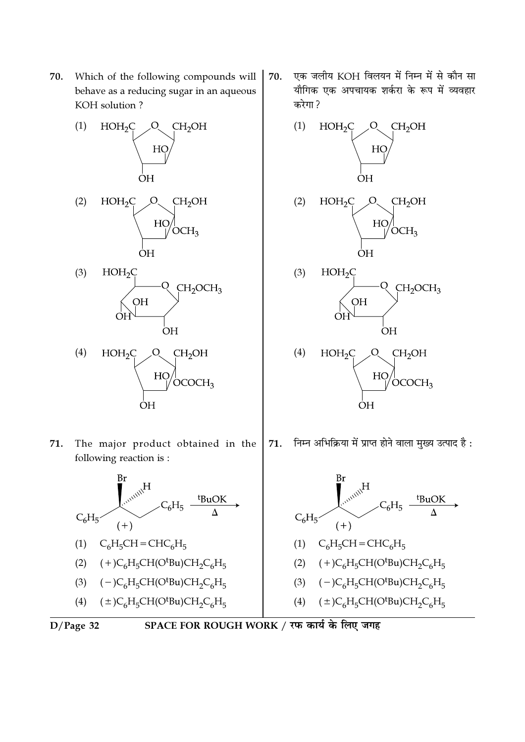70. Which of the following compounds will behave as a reducing sugar in an aqueous KOH solution?



71. The major product obtained in the following reaction is:

ΟH



- (4)  $(\pm)C_6H_5CH(O^tBu)CH_2C_6H_5$
- $D/Page$  32



एक जलीय KOH विलयन में निम्न में से कौन सा 70. यौगिक एक अपचायक शर्करा के रूप में व्यवहार करेगा?





निम्न अभिक्रिया में प्राप्त होने वाला मुख्य उत्पाद है : 71.

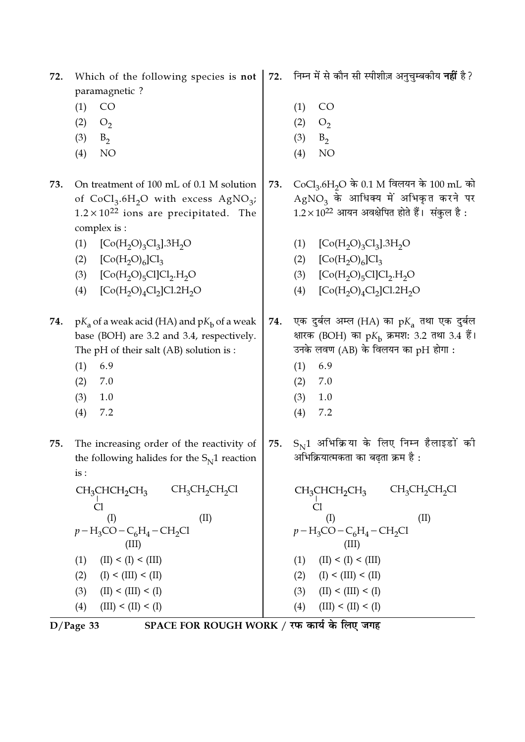| 72. | Which of the following species is not<br>paramagnetic?            | 72. | निम्न में से कौन सी स्पीशीज़ अनुचुम्बकीय <b>नहीं</b> है?          |
|-----|-------------------------------------------------------------------|-----|-------------------------------------------------------------------|
|     | CO                                                                |     | CO                                                                |
|     | (1)                                                               |     | (1)                                                               |
|     | (2)<br>O <sub>2</sub>                                             |     | (2)<br>O <sub>2</sub>                                             |
|     | (3)<br>$B_2$                                                      |     | (3)<br>$B_2$                                                      |
|     | NO<br>(4)                                                         |     | NO<br>(4)                                                         |
| 73. | On treatment of 100 mL of 0.1 M solution                          | 73. | CoCl <sub>3</sub> .6H <sub>2</sub> O के 0.1 M विलयन के 100 mL को  |
|     | of $CoCl3.6H2O$ with excess AgNO <sub>3</sub> ;                   |     | $AgNO3$ के आधिक्य में अभिकृत करने पर                              |
|     | $1.2 \times 10^{22}$ ions are precipitated. The                   |     | $1.2 \times 10^{22}$ आयन अवक्षेपित होते हैं। संकुल है:            |
|     | complex is :                                                      |     |                                                                   |
|     | (1)<br>$[Co(H2O)3Cl3]$ .3H <sub>2</sub> O                         |     | (1)<br>$[Co(H2O)3Cl3]$ .3H <sub>2</sub> O                         |
|     | $[Co(H2O)6]Cl3$<br>(2)                                            |     | $[Co(H2O)6]Cl3$<br>(2)                                            |
|     | (3)<br>$[Co(H2O)5Cl]Cl2H2O$                                       |     | $[Co(H2O)5Cl]Cl2.H2O$<br>(3)                                      |
|     | $[Co(H2O)4Cl2]Cl.2H2O$<br>(4)                                     |     | $[Co(H2O)4Cl2]Cl.2H2O$<br>(4)                                     |
| 74. | $pK_a$ of a weak acid (HA) and $pK_b$ of a weak                   | 74. | एक दुर्बल अम्ल (HA) का $pK_a$ तथा एक दुर्बल                       |
|     | base (BOH) are 3.2 and 3.4, respectively.                         |     | क्षारक (BOH) का $pK_{\rm b}$ क्रमश: 3.2 तथा 3.4 हैं।              |
|     | The pH of their salt (AB) solution is :                           |     | उनके लवण (AB) के विलयन का pH होगा :                               |
|     | (1)<br>6.9                                                        |     | (1)<br>6.9                                                        |
|     | 7.0<br>(2)                                                        |     | 7.0<br>(2)                                                        |
|     | (3)<br>1.0                                                        |     | 1.0<br>(3)                                                        |
|     | 7.2<br>(4)                                                        |     | 7.2<br>(4)                                                        |
| 75. | The increasing order of the reactivity of                         | 75. | $S_{\rm N}$ 1 अभिक्रिया के लिए निम्न हैलाइडों की                  |
|     | the following halides for the $S_{N}1$ reaction                   |     | अभिक्रियात्मकता का बढ़ता क्रम है :                                |
|     | is:                                                               |     |                                                                   |
|     | $CH_3CHCH_2CH_3$ $CH_3CH_2CH_2Cl$                                 |     | $CH_3CH_2CH_2Cl$<br>$CH_3CHCH_2CH_3$                              |
|     | Cl<br>(II)<br>(I)                                                 |     | CI<br>(II)<br>(I)                                                 |
|     | $p - H_3$ CO – C <sub>6</sub> H <sub>4</sub> – CH <sub>2</sub> Cl |     | $p - H_3$ CO – C <sub>6</sub> H <sub>4</sub> – CH <sub>2</sub> Cl |
|     | (III)                                                             |     | (III)                                                             |
|     | (II) < (I) < (III)<br>(1)                                         |     | (II) < (I) < (III)<br>(1)                                         |
|     | (I) < (III) < (II)<br>(2)                                         |     | (2) $(I) < (III) < (II)$                                          |
|     | (3)<br>(II) < (III) < (I)                                         |     | (II) < (III) < (I)<br>(3)                                         |
|     | (III) < (II) < (I)<br>(4)                                         |     | (III) < (II) < (I)<br>(4)                                         |
|     | $\alpha$ rad                                                      |     | <del>र्ग ने लिग</del> चण्च                                        |

D/Page 33 SPACE FOR ROUGH WORK / रफ कार्य के लिए जगह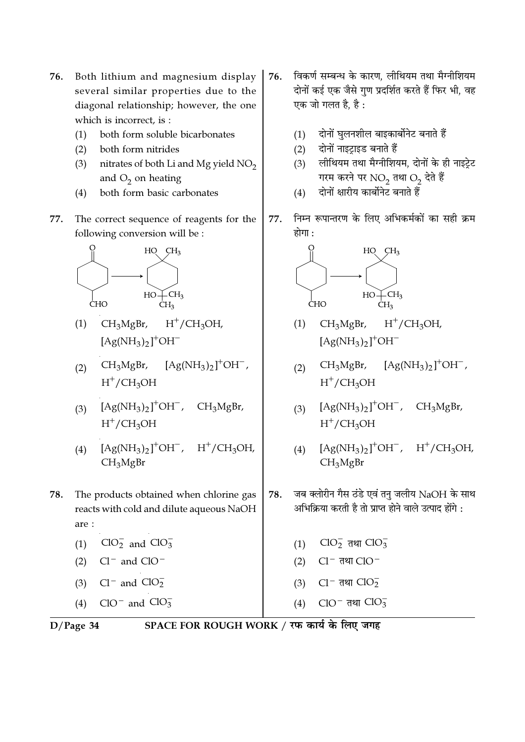- Both lithium and magnesium display 76. several similar properties due to the diagonal relationship; however, the one which is incorrect, is:
	- both form soluble bicarbonates  $(1)$
	- $(2)$ both form nitrides
	- nitrates of both Li and Mg yield NO<sub>2</sub>  $(3)$ and  $O_2$  on heating
	- both form basic carbonates  $(4)$
- 77. The correct sequence of reagents for the following conversion will be:



- CH<sub>3</sub>MgBr,  $H^+/CH_3OH$ ,  $(1)$  $[Ag(NH_3)_2]^+OH^-$
- $CH_3MgBr, \quad [Ag(NH_3)_2]^+OH^-,$  $(2)$  $H^+/CH_3OH$
- $[Ag(NH_3)_2]^+OH^-$ ,  $CH<sub>3</sub>MgBr,$  $(3)$  $H^+/CH_3OH$
- $[Ag(NH_3)_2]^+OH^-$ ,  $H^+/CH_3OH$ ,  $(4)$ CH<sub>3</sub>MgBr
- 78. The products obtained when chlorine gas reacts with cold and dilute aqueous NaOH are:
	- (1)  $ClO<sub>2</sub><sup>-</sup>$  and  $ClO<sub>3</sub><sup>-</sup>$
	- $(2)$  $Cl^-$  and  $ClO^-$
	- (3)  $Cl^-$  and  $ClO_2^-$
	- (4)  $ClO^{-}$  and  $ClO_{3}^{-}$
- विकर्ण सम्बन्ध के कारण, लीथियम तथा मैग्नीशियम 76. दोनों कई एक जैसे गुण प्रदर्शित करते हैं फिर भी, वह एक जो गलत है, है :
	- दोनों घुलनशील बाइकार्बोनेट बनाते हैं  $(1)$
	- दोनों नाइट्राइड बनाते हैं  $(2)$
	- लीथियम तथा मैग्नीशियम, दोनों के ही नाइट्रेट  $(3)$ गरम करने पर NO<sub>2</sub> तथा O<sub>2</sub> देते हैं
	- दोनों क्षारीय कार्बोनेट बनाते हैं  $(4)$
- निम्न रूपान्तरण के लिए अभिकर्मकों का सही क्रम 77. होगा :



- $CH<sub>3</sub>MgBr,$  $H^+/CH_3OH$  $(1)$  $[Ag(NH_3)_2]^+OH^-$
- $[Ag(NH_3)_2]^+OH^-$ ,  $CH<sub>3</sub>MgBr,$  $(2)$  $H^+/CH_3OH$
- (3)  $[Ag(NH_3)_2]^+OH^-$ ,  $CH_3MgBr$ ,  $H^+/CH_3OH$
- $[Ag(NH_3)_2]^+OH^-$ ,  $H^+/CH_3OH$ ,  $(4)$ CH<sub>3</sub>MgBr
- जब क्लोरीन गैस ठंडे एवं तनु जलीय NaOH के साथ 78. अभिक्रिया करती है तो प्राप्त होने वाले उत्पाद होंगे :
	- (1)  $CIO_2^-$  तथा  $CIO_3^-$
	- $(2)$  $Cl^-$  तथा  $ClO^-$
	- $Cl^-$  तथा  $ClO_2^ (3)$
	- ClO<sup>-</sup> तथा ClO<sub>3</sub>  $(4)$

 $D/Page$  34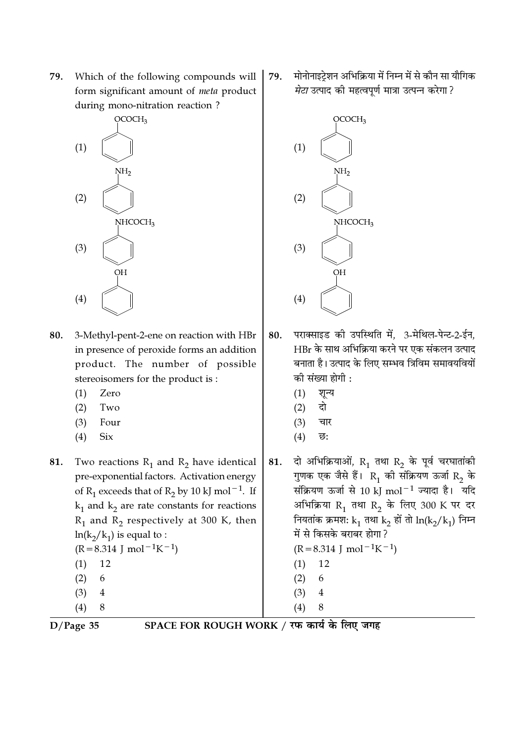79. Which of the following compounds will form significant amount of meta product during mono-nitration reaction?



- 80. 3-Methyl-pent-2-ene on reaction with HBr in presence of peroxide forms an addition product. The number of possible stereoisomers for the product is:
	- $(1)$ Zero
	- $(2)$ Two
	- $(3)$ Four
	- $(4)$ **Six**
- 81. Two reactions  $R_1$  and  $R_2$  have identical pre-exponential factors. Activation energy of R<sub>1</sub> exceeds that of R<sub>2</sub> by 10 kJ mol<sup>-1</sup>. If  $k_1$  and  $k_2$  are rate constants for reactions  $R_1$  and  $R_2$  respectively at 300 K, then  $ln(k_2/k_1)$  is equal to :  $(R=8.314 \text{ J} \text{ mol}^{-1}\text{K}^{-1})$ 
	- 12  $(1)$  $(2)$ 6  $\overline{4}$  $(3)$
	- $(4)$ 8

मोनोनाइट्रेशन अभिक्रिया में निम्न में से कौन सा यौगिक 79. मेटा उत्पाद की महत्वपूर्ण मात्रा उत्पन्न करेगा ?



- पराक्साइड की उपस्थिति में. 3-मेथिल-पेन्ट-2-ईन. 80. HBr के साथ अभिक्रिया करने पर एक संकलन उत्पाद बनाता है। उत्पाद के लिए सम्भव त्रिविम समावयवियों की संख्या होगी :
	- $(1)$ शून्य
	- दो  $(2)$
	- $(3)$ चार
	- $(4)$ छ:

दो अभिक्रियाओं,  $R_1$  तथा  $R_2$  के पूर्व चरघातांकी 81. गुणक एक जैसे हैं।  $R_1$  की संक्रियण ऊर्जा  $R_2$  के संक्रियण ऊर्जा से 10 kJ mol<sup>-1</sup> ज्यादा है। यदि अभिक्रिया R<sub>1</sub> तथा R<sub>2</sub> के लिए 300 K पर दर नियतांक क्रमश:  $k_1$  तथा  $k_2$  हों तो  $ln(k_2/k_1)$  निम्न में से किसके बराबर होगा ?  $(R=8.314 \text{ J} \text{ mol}^{-1}\text{K}^{-1})$ 12  $(1)$  $(2)$ 6

- $\overline{4}$  $(3)$
- $(4)$ 8

 $D/Page$  35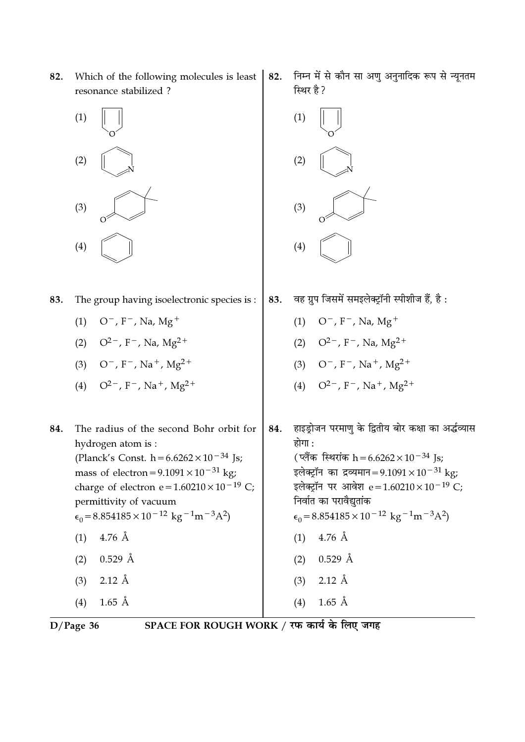Which of the following molecules is least 82. resonance stabilized?



- The group having isoelectronic species is : 83.
	- $(1)$  O<sup>-</sup>, F<sup>-</sup>, Na, Mg<sup>+</sup>
	- (2)  $Q^{2-}$ , F<sup>-</sup>, Na, Mg<sup>2+</sup>
	- (3)  $O^-$ , F<sup>-</sup>, Na<sup>+</sup>, Mg<sup>2+</sup>
	- (4)  $Q^{2-}$ , F<sup>-</sup>, Na<sup>+</sup>, Mg<sup>2+</sup>
- The radius of the second Bohr orbit for 84. hydrogen atom is: (Planck's Const. h =  $6.6262 \times 10^{-34}$  Js; mass of electron =  $9.1091 \times 10^{-31}$  kg; charge of electron e= $1.60210 \times 10^{-19}$  C; permittivity of vacuum  $\epsilon_0 = 8.854185 \times 10^{-12}$  kg<sup>-1</sup>m<sup>-3</sup>A<sup>2</sup>)  $4.76 \text{ Å}$  $(1)$ 
	- $0.529$  Å  $(2)$
	- $2.12 \text{ Å}$  $(3)$
	- $(4)$  $1.65$  Å

निम्न में से कौन सा अणु अनुनादिक रूप से न्यूनतम 82. स्थिर है?



- वह ग्रुप जिसमें समइलेक्ट्रॉनी स्पीशीज हैं, है: 83.
	- $O^-$ , F<sup>-</sup>, Na, Mg<sup>+</sup>  $(1)$
	- (2)  $Q^{2-}$ , F<sup>-</sup>, Na, Mg<sup>2+</sup>
	- (3)  $Q^-$ ,  $F^-$ ,  $Na^+$ ,  $Mg^{2+}$
	- (4)  $Q^{2-}$ , F<sup>-</sup>, Na<sup>+</sup>, Mg<sup>2+</sup>

हाइड्रोजन परमाणु के द्वितीय बोर कक्षा का अर्द्धव्यास 84. होगा : (प्लैंक स्थिरांक h = 6.6262 × 10<sup>-34</sup> Js; इलेक्ट्रॉन का द्रव्यमान=9.1091 × 10<sup>-31</sup> kg; इलेक्ट्रॉन पर आवेश e = 1.60210 × 10<sup>-19</sup> C; निर्वात का परावैद्यतांक  $\epsilon_0 = 8.854185 \times 10^{-12}$  kg<sup>-1</sup>m<sup>-3</sup>A<sup>2</sup>)  $(1)$  4.76 Å  $(2)$  0.529 Å  $(3)$  2.12 Å  $1.65$  Å  $(4)$ 

 $D/Page$  36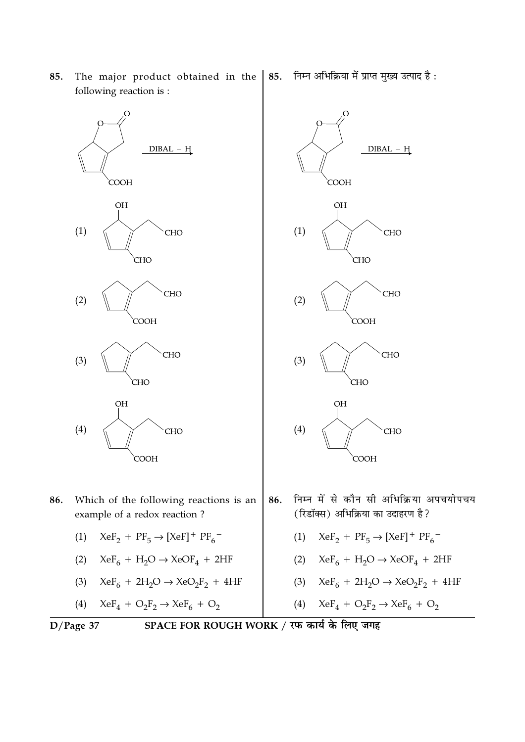**CHO CHO** CHO CHO  $(2)$  $(2)$ **COOH** COOH **CHO** CHO  $(3)$  $(3)$ **CHO CHO OH OH**  $(4)$  $(4)$ **CHO** CHO **COOH COOH** निम्न में से कौन सी अभिक्रिया अपचयोपचय 86. 86. Which of the following reactions is an (रिडॉक्स) अभिक्रिया का उदाहरण है? example of a redox reaction? (1)  $XeF_2 + PF_5 \rightarrow [XeF]^+ PF_6^-$ (1)  $XeF_2 + PF_5 \rightarrow [XeF]^+ PF_6^-$ (2)  $XeF_6 + H_2O \rightarrow XeOF_4 + 2HF$ (2)  $XeF_6 + H_2O \rightarrow XeOF_4 + 2HF$ (3)  $XeF_6 + 2H_2O \rightarrow XeO_2F_2 + 4HF$ (3)  $XeF_6 + 2H_2O \rightarrow XeO_2F_2 + 4HF$ (4)  $XeF_4 + O_2F_2 \rightarrow XeF_6 + O_2$  $XeF_4 + O_2F_2 \rightarrow XeF_6 + O_2$  $(4)$ SPACE FOR ROUGH WORK / रफ कार्य के लिए जगह  $D/Page$  37

85. The major product obtained in the following reaction is:

 $DIBAL - H$ 

**CHO** 

**COOH** 

**OH** 

 $(1)$ 

निम्न अभिक्रिया में प्राप्त मुख्य उत्पाद है: 85.

**COOH** 

**OH** 

 $(1)$ 

 $DIBAL - H$ 

**CHO**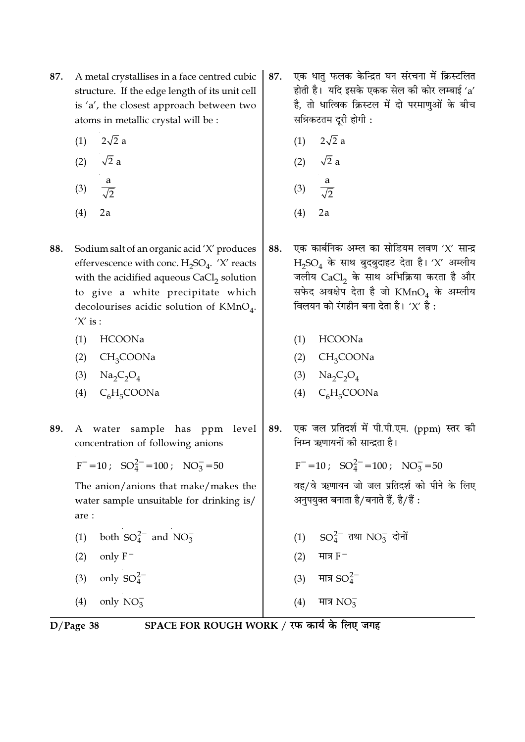- 87. A metal crystallises in a face centred cubic structure. If the edge length of its unit cell is 'a', the closest approach between two atoms in metallic crystal will be :
	- $2\sqrt{2}$  a  $(1)$
	- $\sqrt{2}$  a  $(2)$
	- $(3)$
	- $(4)$  $2a$
- 88. Sodium salt of an organic acid 'X' produces effervescence with conc.  $H_2SO_4$ . 'X' reacts with the acidified aqueous CaCl<sub>2</sub> solution to give a white precipitate which decolourises acidic solution of KMnO<sub>4</sub>.  $'X'$  is :
	- $(1)$ HCOONa
	- $(2)$  $CH<sub>3</sub>COONa$
	- (3)  $\text{Na}_2\text{C}_2\text{O}_4$
	- $C_6H_5COONa$  $(4)$
- 89. A water sample has ppm level concentration of following anions

$$
F^- = 10; \quad SO_4^{2-} = 100; \quad NO_3^- = 50
$$

The anion/anions that make/makes the water sample unsuitable for drinking is/ are:

- both  $SO_4^{2-}$  and  $NO_3^ (1)$
- only  $F^ (2)$
- only  $SO_4^{2-}$  $(3)$
- $(4)$ only  $NO_3^-$
- एक धातु फलक केन्द्रित घन संरचना में क्रिस्टलित 87. होती है। यदि इसके एकक सेल की कोर लम्बाई 'a' है, तो धात्विक क्रिस्टल में दो परमाणुओं के बीच सन्निकटतम दूरी होगी :
	- $2\sqrt{2}$  a  $(1)$
	- $\sqrt{2}$  a  $(2)$
	- a  $(3)$  $\overline{\sqrt{2}}$
	- $(4)$  $2a$
- एक कार्बनिक अम्ल का सोडियम लवण 'X' सान्द्र 88.  $H_2SO_4$  के साथ बुदबुदाहट देता है। 'X' अम्लीय जलीय  $CaCl<sub>2</sub>$  के साथ अभिक्रिया करता है और सफेद अवक्षेप देता है जो  $\mathrm{KMnO}_4$  के अम्लीय विलयन को रंगहीन बना देता है। ' $X'$  है:
	- (1) HCOONa
	- $(2)$  CH<sub>3</sub>COONa
	- (3)  $\text{Na}_2\text{C}_2\text{O}_4$
	- $C_6H_5COONa$  $(4)$
- 89. एक जल प्रतिदर्श में पी.पी.एम. (ppm) स्तर की निम्न ऋणायनों की सान्द्रता है।

 $F^- = 10$ ;  $SO_4^{2-} = 100$ ;  $NO_3^- = 50$ 

वह/वे ऋणायन जो जल प्रतिदर्श को पीने के लिए अनुपयुक्त बनाता है/बनाते हैं, है/हैं :

- (1)  $SO_4^{2-}$  तथा  $NO_3^-$  दोनों
- मात्र  $F^ (2)$
- मात्र  $SO_4^{2-}$  $(3)$
- $(4)$ मात्र NO $_3^-$

 $D/Page$  38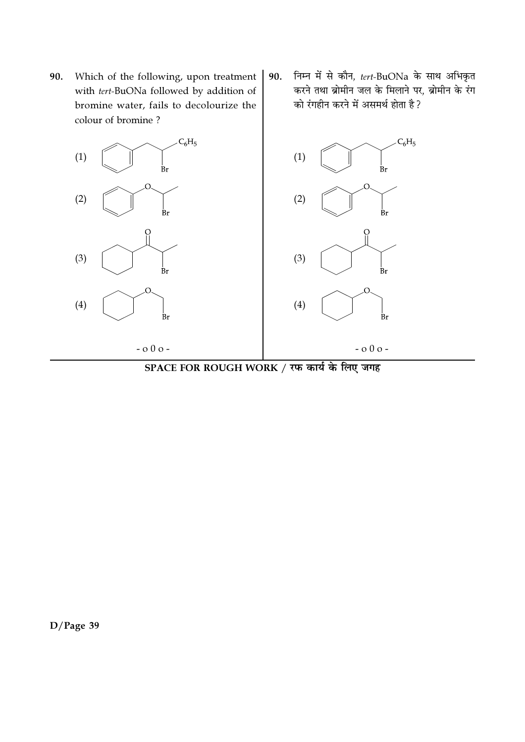Which of the following, upon treatment 90. with tert-BuONa followed by addition of bromine water, fails to decolourize the colour of bromine?



निम्न में से कौन, tert-BuONa के साथ अभिकृत 90. करने तथा ब्रोमीन जल के मिलाने पर, ब्रोमीन के रंग को रंगहीन करने में असमर्थ होता है ?



SPACE FOR ROUGH WORK / रफ कार्य के लिए जगह

 $D/Page$  39